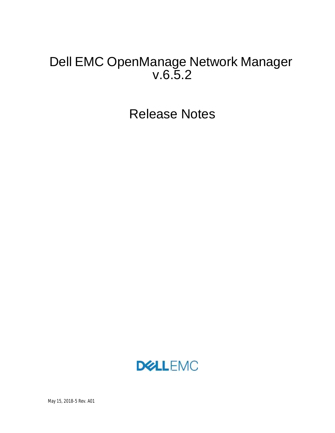# Dell EMC OpenManage Network Manager v.6.5.2

Release Notes

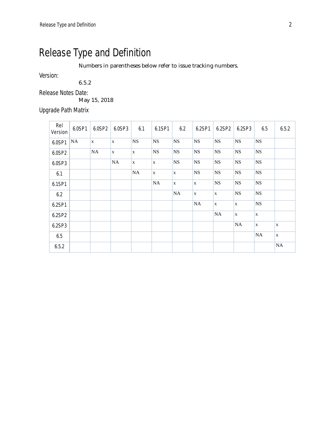# Release Type and Definition

Numbers in parentheses below refer to issue tracking numbers.

Version:

6.5.2

Release Notes Date:

May 15, 2018

Upgrade Path Matrix

| Rel<br>Version | 6.0SP1    | 6.0SP2       | 6.0SP3      | 6.1         | 6.1SP1      | 6.2         | 6.2SP1      | 6.2SP2      | 6.2SP3      | 6.5         | 6.5.2       |
|----------------|-----------|--------------|-------------|-------------|-------------|-------------|-------------|-------------|-------------|-------------|-------------|
| 6.0SP1         | <b>NA</b> | $\mathbf{x}$ | $\mathbf x$ | NS          | <b>NS</b>   | <b>NS</b>   | NS          | <b>NS</b>   | <b>NS</b>   | <b>NS</b>   |             |
| 6.0SP2         |           | <b>NA</b>    | $\mathbf X$ | $\mathbf X$ | <b>NS</b>   | $_{\rm NS}$ | $_{\rm NS}$ | $_{\rm NS}$ | $_{\rm NS}$ | $_{\rm NS}$ |             |
| 6.0SP3         |           |              | NA          | X           | $\mathbf X$ | <b>NS</b>   | <b>NS</b>   | $_{\rm NS}$ | <b>NS</b>   | <b>NS</b>   |             |
| 6.1            |           |              |             | NA          | $\mathbf X$ | $\mathbf X$ | <b>NS</b>   | <b>NS</b>   | NS          | $_{\rm NS}$ |             |
| 6.1SP1         |           |              |             |             | <b>NA</b>   | $\mathbf X$ | $\mathbf X$ | <b>NS</b>   | NS          | $_{\rm NS}$ |             |
| 6.2            |           |              |             |             |             | <b>NA</b>   | $\mathbf X$ | $\mathbf X$ | <b>NS</b>   | <b>NS</b>   |             |
| 6.2SP1         |           |              |             |             |             |             | <b>NA</b>   | $\mathbf X$ | $\mathbf X$ | <b>NS</b>   |             |
| 6.2SP2         |           |              |             |             |             |             |             | $\rm NA$    | $\mathbf X$ | $\mathbf X$ |             |
| 6.2SP3         |           |              |             |             |             |             |             |             | NA          | $\mathbf X$ | X           |
| 6.5            |           |              |             |             |             |             |             |             |             | NA          | $\mathbf X$ |
| 6.5.2          |           |              |             |             |             |             |             |             |             |             | NA          |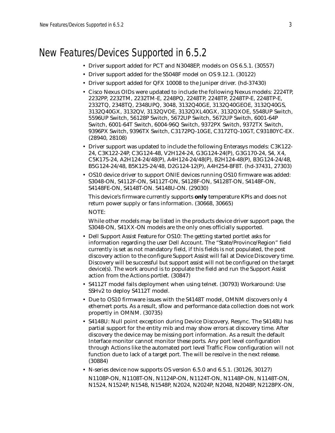# New Features/Devices Supported in 6.5.2

- Driver support added for PCT and N3048EP, models on OS 6.5.1. (30557)
- Driver support added for the S5048F model on OS 9.12.1. (30122)
- Driver support added for QFX 10008 to the Juniper driver. (hd-37430)
- Cisco Nexus OIDs were updated to include the following Nexus models: 2224TP, 2232PP, 2232TM, 2232TM-E, 2248PQ, 2248TP, 2248TP, 2248TP-E, 2248TP-E, 2332TQ, 2348TQ, 2348UPQ, 3048, 3132Q40GE, 3132Q40GEOE, 3132Q40GS, 3132Q40GX, 3132QV, 3132QVOE, 3132QXL40GX, 3132QXOE, 5548UP Switch, 5596UP Switch, 56128P Switch, 5672UP Switch, 5672UP Switch, 6001-64P Switch, 6001-64T Switch, 6004-96Q Switch, 9372PX Switch, 9372TX Switch, 9396PX Switch, 9396TX Switch, C3172PQ-10GE, C3172TQ-10GT, C93180YC-EX. (28940, 28108)
- Driver support was updated to include the following Enterasys models: C3K122- 24, C3K122-24P, C3G124-48, V2H124-24, G3G124-24(P), G3G170-24, S4, X4, C5K175-24, A2H124-24/48(P), A4H124-24/48(P), B2H124-48(P), B3G124-24/48, B5G124-24/48, B5K125-24/48, D2G124-12(P), A4H254-8F8T. (hd-37431, 27303)
- OS10 device driver to support ONIE devices running OS10 firmware was added: S3048-ON, S4112F-ON, S4112T-ON, S4128F-ON, S4128T-ON, S4148F-ON, S4148FE-ON, S4148T-ON. S4148U-ON. (29030)

This device's firmware currently supports **only** temperature KPIs and does not return power supply or fans information. (30668, 30665) NOTE:

While other models may be listed in the products device driver support page, the S3048-ON, S41XX-ON models are the only ones officially supported.

- Dell Support Assist Feature for OS10: The getting started portlet asks for information regarding the user Dell Account. The "State/Province/Region" field currently is set as not mandatory field, if this fields is not populated, the post discovery action to the configure Support Assist will fail at Device Discovery time. Discovery will be successful but support assist will not be configured on the target device(s). The work around is to populate the field and run the Support Assist action from the Actions portlet. (30847)
- S4112T model fails deployment when using telnet. (30793) Workaround: Use SSHv2 to deploy S4112T model.
- Due to OS10 firmware issues with the S4148T model, OMNM discovers only 4 ethernert ports. As a result, sflow and performance data collection does not work propertly in OMNM. (30735)
- S4148U: Null point exception during Device Discovery, Resync. The S4148U has partial support for the entity mib and may show errors at discovery time. After discovery the device may be missing port information. As a result the default Interface monitor cannot monitor these ports. Any port level configuration through Actions like the automated port level Traffic Flow configuration will not function due to lack of a target port. The will be resolve in the next release. (30884)
- N-series device now supports OS version 6.5.0 and 6.5.1. (30126, 30127)

N1108P-ON, N1108T-ON, N1124P-ON, N1124T-ON, N1148P-ON, N1148T-ON, N1524, N1524P, N1548, N1548P, N2024, N2024P, N2048, N2048P, N2128PX-ON,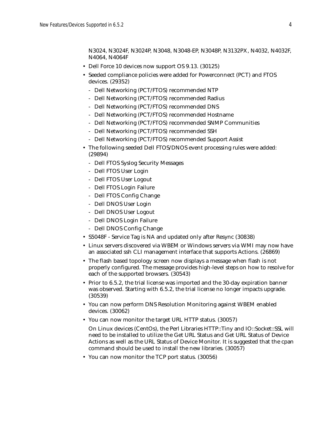N3024, N3024F, N3024P, N3048, N3048-EP, N3048P, N3132PX, N4032, N4032F, N4064, N4064F

- Dell Force 10 devices now support OS 9.13. (30125)
- Seeded compliance policies were added for Powerconnect (PCT) and FTOS devices. (29352)
	- Dell Networking (PCT/FTOS) recommended NTP
	- Dell Networking (PCT/FTOS) recommended Radius
	- Dell Networking (PCT/FTOS) recommended DNS
	- Dell Networking (PCT/FTOS) recommended Hostname
	- Dell Networking (PCT/FTOS) recommended SNMP Communities
	- Dell Networking (PCT/FTOS) recommended SSH
	- Dell Networking (PCT/FTOS) recommended Support Assist
- The following seeded Dell FTOS/DNOS event processing rules were added: (29894)
	- Dell FTOS Syslog Security Messages
	- Dell FTOS User Login
	- Dell FTOS User Logout
	- Dell FTOS Login Failure
	- Dell FTOS Config Change
	- Dell DNOS User Login
	- Dell DNOS User Logout
	- Dell DNOS Login Failure
	- Dell DNOS Config Change
- S5048F Service Tag is NA and updated only after Resync (30838)
- Linux servers discovered via WBEM or Windows servers via WMI may now have an associated ssh CLI management interface that supports Actions. (26869)
- The flash based topology screen now displays a message when flash is not properly configured. The message provides high-level steps on how to resolve for each of the supported browsers. (30543)
- Prior to 6.5.2, the trial license was imported and the 30-day expiration banner was observed. Starting with 6.5.2, the trial license no longer impacts upgrade. (30539)
- You can now perform DNS Resolution Monitoring against WBEM enabled devices. (30062)
- You can now monitor the target URL HTTP status. (30057)
	- On Linux devices (CentOs), the Perl Libraries HTTP::Tiny and IO::Socket::SSL will need to be installed to utilize the Get URL Status and Get URL Status of Device Actions as well as the URL Status of Device Monitor. It is suggested that the cpan command should be used to install the new libraries. (30057)
- You can now monitor the TCP port status. (30056)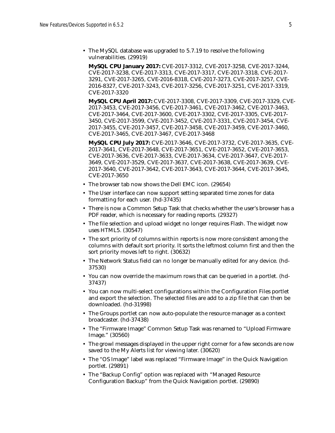• The MySQL database was upgraded to 5.7.19 to resolve the following vulnerabilities. (29919)

**MySQL CPU January 2017:** CVE-2017-3312, CVE-2017-3258, CVE-2017-3244, CVE-2017-3238, CVE-2017-3313, CVE-2017-3317, CVE-2017-3318, CVE-2017- 3291, CVE-2017-3265, CVE-2016-8318, CVE-2017-3273, CVE-2017-3257, CVE-2016-8327, CVE-2017-3243, CVE-2017-3256, CVE-2017-3251, CVE-2017-3319, CVE-2017-3320

**MySQL CPU April 2017:** CVE-2017-3308, CVE-2017-3309, CVE-2017-3329, CVE-2017-3453, CVE-2017-3456, CVE-2017-3461, CVE-2017-3462, CVE-2017-3463, CVE-2017-3464, CVE-2017-3600, CVE-2017-3302, CVE-2017-3305, CVE-2017- 3450, CVE-2017-3599, CVE-2017-3452, CVE-2017-3331, CVE-2017-3454, CVE-2017-3455, CVE-2017-3457, CVE-2017-3458, CVE-2017-3459, CVE-2017-3460, CVE-2017-3465, CVE-2017-3467, CVE-2017-3468

**MySQL CPU July 2017:** CVE-2017-3646, CVE-2017-3732, CVE-2017-3635, CVE-2017-3641, CVE-2017-3648, CVE-2017-3651, CVE-2017-3652, CVE-2017-3653, CVE-2017-3636, CVE-2017-3633, CVE-2017-3634, CVE-2017-3647, CVE-2017- 3649, CVE-2017-3529, CVE-2017-3637, CVE-2017-3638, CVE-2017-3639, CVE-2017-3640, CVE-2017-3642, CVE-2017-3643, CVE-2017-3644, CVE-2017-3645, CVE-2017-3650

- The browser tab now shows the Dell EMC icon. (29654)
- The User interface can now support setting separated time zones for data formatting for each user. (hd-37435)
- There is now a Common Setup Task that checks whether the user's browser has a PDF reader, which is necessary for reading reports. (29327)
- The file selection and upload widget no longer requires Flash. The widget now uses HTML5. (30547)
- The sort priority of columns within reports is now more consistent among the columns with default sort priority. It sorts the leftmost column first and then the sort priority moves left to right. (30632)
- The Network Status field can no longer be manually edited for any device. (hd-37530)
- You can now override the maximum rows that can be queried in a portlet. (hd-37437)
- You can now multi-select configurations within the Configuration Files portlet and export the selection. The selected files are add to a zip file that can then be downloaded. (hd-31998)
- The Groups portlet can now auto-populate the resource manager as a context broadcaster. (hd-37438)
- The "Firmware Image" Common Setup Task was renamed to "Upload Firmware Image." (30560)
- The growl messages displayed in the upper right corner for a few seconds are now saved to the My Alerts list for viewing later. (30620)
- The "OS Image" label was replaced "Firmware Image" in the Quick Navigation portlet. (29891)
- The "Backup Config" option was replaced with "Managed Resource Configuration Backup" from the Quick Navigation portlet. (29890)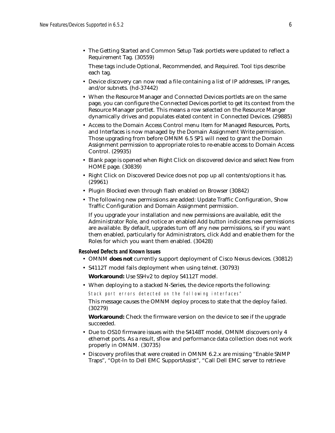• The Getting Started and Common Setup Task portlets were updated to reflect a Requirement Tag. (30559)

These tags include Optional, Recommended, and Required. Tool tips describe each tag.

- Device discovery can now read a file containing a list of IP addresses, IP ranges, and/or subnets. (hd-37442)
- When the Resource Manager and Connected Devices portlets are on the same page, you can configure the Connected Devices portlet to get its context from the Resource Manager portlet. This means a row selected on the Resource Manger dynamically drives and populates elated content in Connected Devices. (29885)
- Access to the Domain Access Control menu Item for Managed Resources, Ports, and Interfaces is now managed by the Domain Assignment Write permission. Those upgrading from before OMNM 6.5 SP1 will need to grant the Domain Assignment permission to appropriate roles to re-enable access to Domain Access Control. (29935)
- Blank page is opened when Right Click on discovered device and select New from HOME page. (30839)
- Right Click on Discovered Device does not pop up all contents/options it has. (29961)
- Plugin Blocked even through flash enabled on Browser (30842)
- The following new permissions are added: Update Traffic Configuration, Show Traffic Configuration and Domain Assignment permission.

If you upgrade your installation and new permissions are available, edit the Administrator Role, and notice an enabled Add button indicates new permissions are available. By default, upgrades turn off any new permissions, so if you want them enabled, particularly for Administrators, click Add and enable them for the Roles for which you want them enabled. (30428)

### **Resolved Defects and Known Issues**

- OMNM **does not** currently support deployment of Cisco Nexus devices. (30812)
- S4112T model fails deployment when using telnet. (30793)

**Workaround:** Use SSHv2 to deploy S4112T model.

• When deploying to a stacked N-Series, the device reports the following:

Stack port errors detected on the following interfaces"

This message causes the OMNM deploy process to state that the deploy failed. (30279)

**Workaround:** Check the firmware version on the device to see if the upgrade succeeded.

- Due to OS10 firmware issues with the S4148T model, OMNM discovers only 4 ethernet ports. As a result, sflow and performance data collection does not work properly in OMNM. (30735)
- Discovery profiles that were created in OMNM 6.2.x are missing "Enable SNMP Traps", "Opt-In to Dell EMC SupportAssist", "Call Dell EMC server to retrieve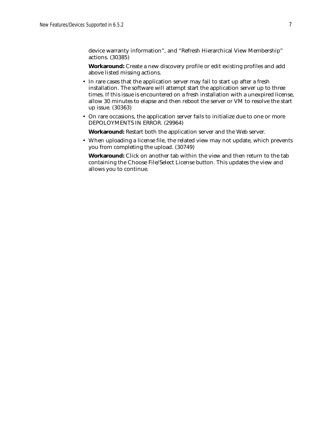device warranty information", and "Refresh Hierarchical View Membership" actions. (30385)

**Workaround:** Create a new discovery profile or edit existing profiles and add above listed missing actions.

- In rare cases that the application server may fail to start up after a fresh installation. The software will attempt start the application server up to three times. If this issue is encountered on a fresh installation with a unexpired license, allow 30 minutes to elapse and then reboot the server or VM to resolve the start up issue. (30363)
- On rare occasions, the application server fails to initialize due to one or more DEPOLOYMENTS IN ERROR. (29964)

**Workaround:** Restart both the application server and the Web server.

• When uploading a license file, the related view may not update, which prevents you from completing the upload. (30749)

**Workaround:** Click on another tab within the view and then return to the tab containing the Choose File/Select License button. This updates the view and allows you to continue.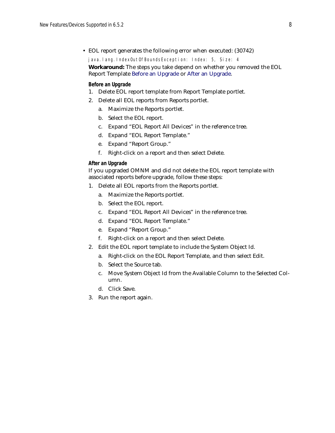• EOL report generates the following error when executed: (30742)

java.lang.IndexOutOfBoundsException: Index: 5, Size: 4

### **Workaround:** The steps you take depend on whether you removed the EOL Report Template [Before an Upgrade](#page-7-0) or [After an Upgrade.](#page-7-1)

### <span id="page-7-0"></span>**Before an Upgrade**

- 1. Delete EOL report template from Report Template portlet.
- 2. Delete all EOL reports from Reports portlet.
	- a. Maximize the Reports portlet.
	- b. Select the EOL report.
	- c. Expand "EOL Report All Devices" in the reference tree.
	- d. Expand "EOL Report Template."
	- e. Expand "Report Group."
	- f. Right-click on a report and then select Delete.

### <span id="page-7-1"></span>**After an Upgrade**

If you upgraded OMNM and did not delete the EOL report template with associated reports before upgrade, follow these steps:

- 1. Delete all EOL reports from the Reports portlet.
	- a. Maximize the Reports portlet.
	- b. Select the EOL report.
	- c. Expand "EOL Report All Devices" in the reference tree.
	- d. Expand "EOL Report Template."
	- e. Expand "Report Group."
	- f. Right-click on a report and then select Delete.
- 2. Edit the EOL report template to include the System Object Id.
	- a. Right-click on the EOL Report Template, and then select Edit.
	- b. Select the Source tab.
	- c. Move System Object Id from the Available Column to the Selected Column.
	- d. Click Save.
- 3. Run the report again.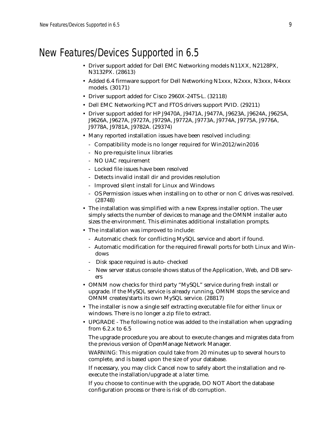# New Features/Devices Supported in 6.5

- Driver support added for Dell EMC Networking models N11XX, N2128PX, N3132PX. (28613)
- Added 6.4 firmware support for Dell Networking N1xxx, N2xxx, N3xxx, N4xxx models. (30171)
- Driver support added for Cisco 2960X-24TS-L. (32118)
- Dell EMC Networking PCT and FTOS drivers support PVID. (29211)
- Driver support added for HP J9470A, J9471A, J9477A, J9623A, J9624A, J9625A, J9626A, J9627A, J9727A, J9729A, J9772A, J9773A, J9774A, J9775A, J9776A, J9778A, J9781A, J9782A. (29374)
- Many reported installation issues have been resolved including:
	- Compatibility mode is no longer required for Win2012/win2016
	- No pre-requisite linux libraries
	- NO UAC requirement
	- Locked file issues have been resolved
	- Detects invalid install dir and provides resolution
	- Improved silent install for Linux and Windows
	- OS Permission issues when installing on to other or non C drives was resolved. (28748)
- The installation was simplified with a new Express installer option. The user simply selects the number of devices to manage and the OMNM installer auto sizes the environment. This eliminates additional installation prompts.
- The installation was improved to include:
	- Automatic check for conflicting MySQL service and abort if found.
	- Automatic modification for the required firewall ports for both Linux and Windows
	- Disk space required is auto- checked
	- New server status console shows status of the Application, Web, and DB servers
- OMNM now checks for third party "MySQL" service during fresh install or upgrade. If the MySQL service is already running, OMNM stops the service and OMNM creates/starts its own MySQL service. (28817)
- The installer is now a single self extracting executable file for either linux or windows. There is no longer a zip file to extract.
- UPGRADE The following notice was added to the installation when upgrading from 6.2.x to 6.5
	- The upgrade procedure you are about to execute changes and migrates data from the previous version of OpenManage Network Manager.
	- WARNING: This migration could take from 20 minutes up to several hours to complete, and is based upon the size of your database.
	- If necessary, you may click Cancel now to safely abort the installation and reexecute the installation/upgrade at a later time.

If you choose to continue with the upgrade, DO NOT Abort the database configuration process or there is risk of db corruption.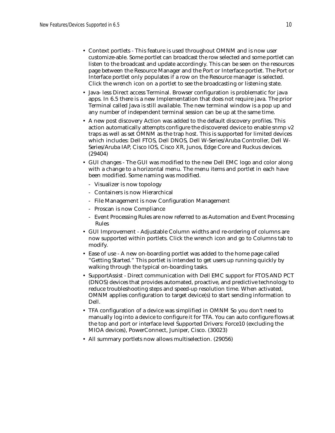- Context portlets This feature is used throughout OMNM and is now user customize-able. Some portlet can broadcast the row selected and some portlet can listen to the broadcast and update accordingly. This can be seen on the resources page between the Resource Manager and the Port or Interface portlet. The Port or Interface portlet only populates if a row on the Resource manager is selected. Click the wrench icon on a portlet to see the broadcasting or listening state.
- Java- less Direct access Terminal. Browser configuration is problematic for java apps. In 6.5 there is a new Implementation that does not require java. The prior Terminal called Java is still available. The new terminal window is a pop up and any number of independent terminal session can be up at the same time.
- A new post discovery Action was added to the default discovery profiles. This action automatically attempts configure the discovered device to enable snmp v2 traps as well as set OMNM as the trap host. This is supported for limited devices which includes: Dell FTOS, Dell DNOS, Dell W-Series/Aruba Controller, Dell W-Series/Aruba IAP, Cisco IOS, Cisco XR, Junos, Edge Core and Ruckus devices. (29404)
- GUI changes The GUI was modified to the new Dell EMC logo and color along with a change to a horizontal menu. The menu items and portlet in each have been modified. Some naming was modified.
	- Visualizer is now topology
	- Containers is now Hierarchical
	- File Management is now Configuration Management
	- Proscan is now Compliance
	- Event Processing Rules are now referred to as Automation and Event Processing Rules
- GUI Improvement Adjustable Column widths and re-ordering of columns are now supported within portlets. Click the wrench icon and go to Columns tab to modify.
- Ease of use A new on-boarding portlet was added to the home page called "Getting Started." This portlet is intended to get users up running quickly by walking through the typical on-boarding tasks.
- SupportAssist Direct communication with Dell EMC support for FTOS AND PCT (DNOS) devices that provides automated, proactive, and predictive technology to reduce troubleshooting steps and speed-up resolution time. When activated, OMNM applies configuration to target device(s) to start sending information to Dell.
- TFA configuration of a device was simplified in OMNM So you don't need to manually log into a device to configure it for TFA. You can auto configure flows at the top and port or interface level Supported Drivers: Force10 (excluding the MIOA devices), PowerConnect, Juniper, Cisco. (30023)
- All summary portlets now allows multiselection. (29056)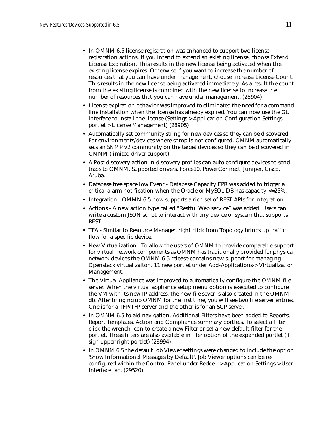- In OMNM 6.5 license registration was enhanced to support two license registration actions. If you intend to extend an existing license, choose Extend License Expiration. This results in the new license being activated when the existing license expires. Otherwise if you want to increase the number of resources that you can have under management, choose Increase License Count. This results in the new license being activated immediately. As a result the count from the existing license is combined with the new license to increase the number of resources that you can have under management. (28904)
- License expiration behavior was improved to eliminated the need for a command line installation when the license has already expired. You can now use the GUI interface to install the license (Settings > Application Configuration Settings portlet > License Management) (28905)
- Automatically set community string for new devices so they can be discovered. For environments/devices where snmp is not configured, OMNM automatically sets an SNMP v2 community on the target devices so they can be discovered in OMNM (limited driver support).
- A Post discovery action in discovery profiles can auto configure devices to send traps to OMNM. Supported drivers, Force10, PowerConnect, Juniper, Cisco, Aruba.
- Database free space low Event Database Capacity EPR was added to trigger a critical alarm notification when the Oracle or MySQL DB has capacity <=25%.
- Integration OMMN 6.5 now supports a rich set of REST APIs for integration.
- Actions A new action type called "Restful Web service" was added. Users can write a custom JSON script to interact with any device or system that supports REST.
- TFA Similar to Resource Manager, right click from Topology brings up traffic flow for a specific device.
- New Virtualization To allow the users of OMNM to provide comparable support for virtual network components as OMNM has traditionally provided for physical network devices the OMNM 6.5 release contains new support for managing Openstack virtualizaiton. 11 new portlet under Add-Applications-> Virtualization Management.
- The Virtual Appliance was improved to automatically configure the OMNM file server. When the virtual appliance setup menu option is executed to configure the VM with its new IP address, the new file sever is also created in the OMNM db. After bringing up OMNM for the first time, you will see two file server entries. One is for a TFP/TFP server and the other is for an SCP server.
- In OMNM 6.5 to aid navigation, Additional Filters have been added to Reports, Report Templates, Action and Compliance summary portlets. To select a filter click the wrench icon to create a new Filter or set a new default filter for the portlet. These filters are also available in filer option of the expanded portlet (+ sign upper right portlet) (28994)
- In OMNM 6.5 the default Job Viewer settings were changed to include the option 'Show Informational Messages by Default'. Job Viewer options can be reconfigured within the Control Panel under Redcell > Application Settings > User Interface tab. (29520)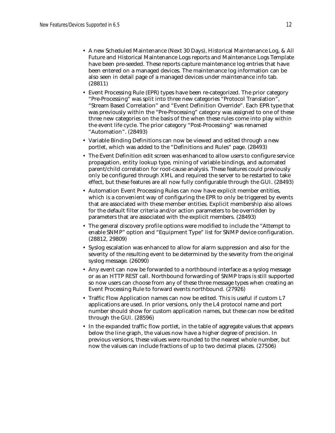- A new Scheduled Maintenance (Next 30 Days), Historical Maintenance Log, & All Future and Historical Maintenance Logs reports and Maintenance Logs Template have been pre-seeded. These reports capture maintenance log entries that have been entered on a managed devices. The maintenance log information can be also seen in detail page of a managed devices under maintenance info tab. (28811)
- Event Processing Rule (EPR) types have been re-categorized. The prior category "Pre-Processing" was split into three new categories "Protocol Translation", "Stream Based Correlation" and "Event Definition Override". Each EPR type that was previously within the "Pre-Processing" category was assigned to one of these three new categories on the basis of the when these rules come into play within the event life cycle. The prior category "Post-Processing" was renamed "Automation". (28493)
- Variable Binding Definitions can now be viewed and edited through a new portlet, which was added to the "Definitions and Rules" page. (28493)
- The Event Definition edit screen was enhanced to allow users to configure service propagation, entity lookup type, mining of variable bindings, and automated parent/child correlation for root-cause analysis. These features could previously only be configured through XML and required the server to be restarted to take effect, but these features are all now fully configurable through the GUI. (28493)
- Automation Event Processing Rules can now have explicit member entities, which is a convenient way of configuring the EPR to only be triggered by events that are associated with these member entities. Explicit membership also allows for the default filter criteria and/or action parameters to be overridden by parameters that are associated with the explicit members. (28493)
- The general discovery profile options were modified to include the "Attempt to enable SNMP" option and "Equipment Type" list for SNMP device configuration. (28812, 29809)
- Syslog escalation was enhanced to allow for alarm suppression and also for the severity of the resulting event to be determined by the severity from the original syslog message. (26090)
- Any event can now be forwarded to a northbound interface as a syslog message or as an HTTP REST call. Northbound forwarding of SNMP traps is still supported so now users can choose from any of these three message types when creating an Event Processing Rule to forward events northbound. (27926)
- Traffic Flow Application names can now be edited. This is useful if custom L7 applications are used. In prior versions, only the L4 protocol name and port number should show for custom application names, but these can now be edited through the GUI. (28596)
- In the expanded traffic flow portlet, in the table of aggregate values that appears below the line graph, the values now have a higher degree of precision. In previous versions, these values were rounded to the nearest whole number, but now the values can include fractions of up to two decimal places. (27506)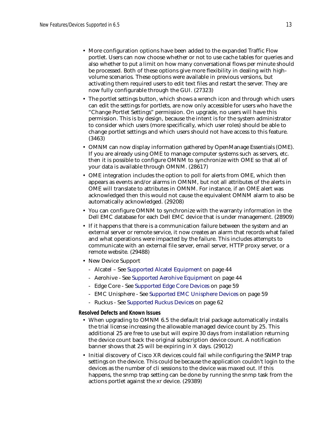- More configuration options have been added to the expanded Traffic Flow portlet. Users can now choose whether or not to use cache tables for queries and also whether to put a limit on how many conversational flows per minute should be processed. Both of these options give more flexibility in dealing with highvolume scenarios. These options were available in previous versions, but activating them required users to edit text files and restart the server. They are now fully configurable through the GUI. (27323)
- The portlet settings button, which shows a wrench icon and through which users can edit the settings for portlets, are now only accessible for users who have the "Change Portlet Settings" permission. On upgrade, no users will have this permission. This is by design, because the intent is for the system administrator to consider which users (more specifically, which user roles) should be able to change portlet settings and which users should not have access to this feature. (3463)
- OMNM can now display information gathered by OpenManage Essentials (OME). If you are already using OME to manage computer systems such as servers, etc. then it is possible to configure OMNM to synchronize with OME so that all of your data is available through OMNM. (28617)
- OME integration includes the option to poll for alerts from OME, which then appears as events and/or alarms in OMNM, but not all attributes of the alerts in OME will translate to attributes in OMNM. For instance, if an OME alert was acknowledged then this would not cause the equivalent OMNM alarm to also be automatically acknowledged. (29208)
- You can configure OMNM to synchronize with the warranty information in the Dell EMC database for each Dell EMC device that is under management. (28909)
- If it happens that there is a communication failure between the system and an external server or remote service, it now creates an alarm that records what failed and what operations were impacted by the failure. This includes attempts to communicate with an external file server, email server, HTTP proxy server, or a remote website. (29488)
- New Device Support
	- Alcatel See [Supported Alcatel Equipment on page 44](#page-43-0)
	- Aerohive See [Supported Aerohive Equipment on page 44](#page-43-1)
	- Edge Core See [Supported Edge Core Devices on page 59](#page-58-1)
	- EMC Unisphere See [Supported EMC Unisphere Devices on page 59](#page-58-0)
	- Ruckus See [Supported Ruckus Devices on page 62](#page-61-0)

**Resolved Defects and Known Issues**

- When upgrading to OMNM 6.5 the default trial package automatically installs the trial license increasing the allowable managed device count by 25. This additional 25 are free to use but will expire 30 days from installation returning the device count back the original subscription device count. A notification banner shows that 25 will be expiring in X days. (29012)
- Initial discovery of Cisco XR devices could fail while configuring the SNMP trap settings on the device. This could be because the application couldn't login to the devices as the number of cli sessions to the device was maxed out. If this happens, the snmp trap setting can be done by running the snmp task from the actions portlet against the xr device. (29389)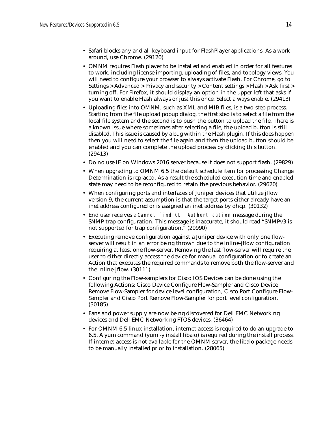- Safari blocks any and all keyboard input for FlashPlayer applications. As a work around, use Chrome. (29120)
- OMNM requires Flash player to be installed and enabled in order for all features to work, including license importing, uploading of files, and topology views. You will need to configure your browser to always activate Flash. For Chrome, go to Settings > Advanced > Privacy and security > Content settings > Flash > Ask first > turning off. For Firefox, it should display an option in the upper left that asks if you want to enable Flash always or just this once. Select always enable. (29413)
- Uploading files into OMNM, such as XML and MIB files, is a two-step process. Starting from the file upload popup dialog, the first step is to select a file from the local file system and the second is to push the button to upload the file. There is a known issue where sometimes after selecting a file, the upload button is still disabled. This issue is caused by a bug within the Flash plugin. If this does happen then you will need to select the file again and then the upload button should be enabled and you can complete the upload process by clicking this button. (29413)
- Do no use IE on Windows 2016 server because it does not support flash. (29829)
- When upgrading to OMNM 6.5 the default schedule item for processing Change Determination is replaced. As a result the scheduled execution time and enabled state may need to be reconfigured to retain the previous behavior. (29620)
- When configuring ports and interfaces of Juniper devices that utilize jflow version 9, the current assumption is that the target ports either already have an inet address configured or is assigned an inet address by dhcp. (30132)
- End user receives a Cannot find CLI Authentication message during the SNMP trap configuration. This message is inaccurate, it should read "SNMPv3 is not supported for trap configuration." (29990)
- Executing remove configuration against a Juniper device with only one flowserver will result in an error being thrown due to the inline-jflow configuration requiring at least one flow-server. Removing the last flow-server will require the user to either directly access the device for manual configuration or to create an Action that executes the required commands to remove both the flow-server and the inline-jflow. (30111)
- Configuring the Flow-samplers for Cisco IOS Devices can be done using the following Actions: Cisco Device Configure Flow-Sampler and Cisco Device Remove Flow-Sampler for device level configuration, Cisco Port Configure Flow-Sampler and Cisco Port Remove Flow-Sampler for port level configuration. (30185)
- Fans and power supply are now being discovered for Dell EMC Networking devices and Dell EMC Networking FTOS devices. (36464)
- For OMNM 6.5 linux installation, internet access is required to do an upgrade to 6.5. A yum command (yum -y install libaio) is required during the install process. If internet access is not available for the OMNM server, the libaio package needs to be manually installed prior to installation. (28065)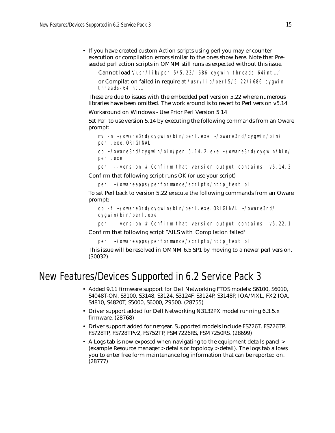• If you have created custom Action scripts using perl you may encounter execution or compilation errors similar to the ones show here. Note that Preseeded perl action scripts in OMNM still runs as expected without this issue.

Cannot load '/usr/lib/perl5/5.22/i686-cygwin-threads-64int...'

or Compilation failed in require at /usr/lib/perl5/5.22/i686-cygwinthreads-64int...

These are due to issues with the embedded perl version 5.22 where numerous libraries have been omitted. The work around is to revert to Perl version v5.14

Workaround on Windows - Use Prior Perl Version 5.14

Set Perl to use version 5.14 by executing the following commands from an Oware prompt:

```
mv -n ~/oware3rd/cygwin/bin/perl.exe ~/oware3rd/cygwin/bin/
perl.exe.ORIGINAL
```
cp ~/oware3rd/cygwin/bin/perl5.14.2.exe ~/oware3rd/cygwin/bin/ perl.exe

perl --version # Confirm that version output contains: v5.14.2

Confirm that following script runs OK (or use your script)

```
perl ~/owareapps/performance/scripts/http_test.pl
```
To set Perl back to version 5.22 execute the following commands from an Oware prompt:

```
cp -f ~/oware3rd/cygwin/bin/perl.exe.ORIGINAL ~/oware3rd/
cygwin/bin/perl.exe
```
perl --version # Confirm that version output contains: v5.22.1

Confirm that following script FAILS with 'Compilation failed'

perl ~/owareapps/performance/scripts/http\_test.pl

This issue will be resolved in OMNM 6.5 SP1 by moving to a newer perl version. (30032)

## New Features/Devices Supported in 6.2 Service Pack 3

- Added 9.11 firmware support for Dell Networking FTOS models: S6100, S6010, S4048T-ON, S3100, S3148, S3124, S3124F, S3124P, S3148P, IOA/MXL, FX2 IOA, S4810, S4820T, S5000, S6000, Z9500. (28755)
- Driver support added for Dell Networking N3132PX model running 6.3.5.x firmware. (28768)
- Driver support added for netgear. Supported models include FS726T, FS726TP, FS728TP, FS728TPv2, FS752TP, FSM7226RS, FSM7250RS. (28699)
- A Logs tab is now exposed when navigating to the equipment details panel > (example Resource manager > details or topology > detail). The logs tab allows you to enter free form maintenance log information that can be reported on. (28777)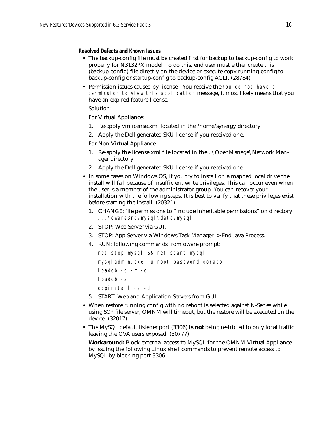### **Resolved Defects and Known Issues**

- The backup-config file must be created first for backup to backup-config to work properly for N3132PX model. To do this, end user must either create this (backup-config) file directly on the device or execute copy running-config to backup-config or startup-config to backup-config ACLI. (28784)
- Permission issues caused by license You receive the You do not have a permission to view this application message, it most likely means that you have an expired feature license.

### Solution:

For Virtual Appliance:

- 1. Re-apply vmlicense.xml located in the /home/synergy directory
- 2. Apply the Dell generated SKU license if you received one.

For Non Virtual Appliance:

- 1. Re-apply the license.xml file located in the ..\OpenManage\Network Manager directory
- 2. Apply the Dell generated SKU license if you received one.
- In some cases on Windows OS, if you try to install on a mapped local drive the install will fail because of insufficient write privileges. This can occur even when the user is a member of the administrator group. You can recover your installation with the following steps. It is best to verify that these privileges exist before starting the install. (20321)
	- 1. CHANGE: file permissions to "Include inheritable permissions" on directory: *...\oware3rd\mysql\data\mysql*
	- 2. STOP: Web Server via GUI.
	- 3. STOP: App Server via Windows Task Manager -> End Java Process.
	- 4. RUN: following commands from oware prompt:

```
net stop mysql && net start mysql
mysqladmin.exe -u root password dorado
loaddb -d -m -q
loaddb -s
ocpinstall -s -d
```
- 5. START: Web and Application Servers from GUI.
- When restore running config with no reboot is selected against N-Series while using SCP file server, OMNM will timeout, but the restore will be executed on the device. (32017)
- The MySQL default listener port (3306) **is not** being restricted to only local traffic leaving the OVA users exposed. (30777)

**Workaround:** Block external access to MySQL for the OMNM Virtual Appliance by issuing the following Linux shell commands to prevent remote access to MySQL by blocking port 3306.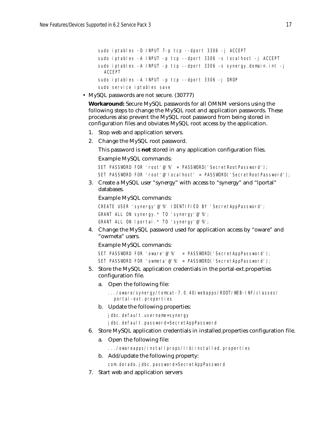```
sudo iptables -D INPUT 7-p tcp --dport 3306 -j ACCEPT
sudo iptables -A INPUT -p tcp --dport 3306 -s localhost -j ACCEPT
sudo iptables -A INPUT -p tcp --dport 3306 -s synergy.domain.int -j 
 ACCEPT
sudo iptables -A INPUT -p tcp --dport 3306 -j DROP
sudo service iptables save
```
• MySQL passwords are not secure. (30777)

**Workaround:** Secure MySQL passwords for all OMNM versions using the following steps to change the MySQL root and application passwords. These procedures also prevent the MySQL root password from being stored in configuration files and obviates MySQL root access by the application.

- 1. Stop web and application servers.
- 2. Change the MySQL root password.

This password is **not** stored in any application configuration files.

Example MySQL commands:

```
SET PASSWORD FOR 'root'@'%' = PASSWORD('SecretRootPassword');
SET PASSWORD FOR 'root'@'localhost' = PASSWORD('SecretRootPassword');
```
3. Create a MySQL user "synergy" with access to "synergy" and "lportal" databases.

Example MySQL commands:

```
CREATE USER 'synergy'@'%' IDENTIFIED BY 'SecretAppPassword';
GRANT ALL ON synergy.* TO 'synergy'@'%';
GRANT ALL ON lportal.* TO 'synergy'@'%';
```
4. Change the MySQL password used for application access by "oware" and "owmeta" users.

Example MySQL commands:

```
SET PASSWORD FOR 'oware'@'%' = PASSWORD('SecretAppPassword');
SET PASSWORD FOR 'owmeta'@'%' = PASSWORD('SecretAppPassword');
```
- 5. Store the MySQL application credentials in the portal-ext.properties configuration file.
	- a. Open the following file:

```
.../oware/synergy/tomcat-7.0.40/webapps/ROOT/WEB-INF/classes/
 portal-ext.properties
```
b. Update the following properties:

jdbc.default.username=synergy

jdbc.default.password=SecretAppPassword

- 6. Store MySQL application credentials in installed.properties configuration file.
	- a. Open the following file:

.../owareapps/installprops/lib/installed.properties

b. Add/update the following property:

com.dorado.jdbc.password=SecretAppPassword

7. Start web and application servers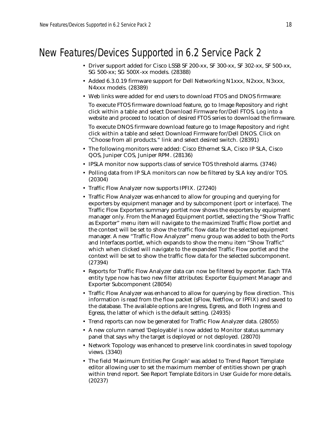# New Features/Devices Supported in 6.2 Service Pack 2

- Driver support added for Cisco LSSB SF 200-xx, SF 300-xx, SF 302-xx, SF 500-xx, SG 500-xx; SG 500X-xx models. (28388)
- Added 6.3.0.19 firmware support for Dell Networking N1xxx, N2xxx, N3xxx, N4xxx models. (28389)
- Web links were added for end users to download FTOS and DNOS firmware:

To execute FTOS firmware download feature, go to Image Repository and right click within a table and select Download Firmware for/Dell FTOS. Log into a website and proceed to location of desired FTOS series to download the firmware.

To execute DNOS firmware download feature go to Image Repository and right click within a table and select Download Firmware for/Dell DNOS. Click on "Choose from all products." link and select desired switch. (28391)

- The following monitors were added: Cisco Ethernet SLA, Cisco IP SLA, Cisco QOS, Juniper COS, Juniper RPM. (28136)
- IPSLA monitor now supports class of service TOS threshold alarms. (3746)
- Polling data from IP SLA monitors can now be filtered by SLA key and/or TOS. (20304)
- Traffic Flow Analyzer now supports IPFIX. (27240)
- Traffic Flow Analyzer was enhanced to allow for grouping and querying for exporters by equipment manager and by subcomponent (port or interface). The Traffic Flow Exporters summary portlet now shows the exporters by equipment manager only. From the Managed Equipment portlet, selecting the "Show Traffic as Exporter" menu item will navigate to the maximized Traffic Flow portlet and the context will be set to show the traffic flow data for the selected equipment manager. A new "Traffic Flow Analyzer" menu group was added to both the Ports and Interfaces portlet, which expands to show the menu item "Show Traffic" which when clicked will navigate to the expanded Traffic Flow portlet and the context will be set to show the traffic flow data for the selected subcomponent. (27394)
- Reports for Traffic Flow Analyzer data can now be filtered by exporter. Each TFA entity type now has two new filter attributes: Exporter Equipment Manager and Exporter Subcomponent (28054)
- Traffic Flow Analyzer was enhanced to allow for querying by flow direction. This information is read from the flow packet (sFlow, Netflow, or IPFIX) and saved to the database. The available options are Ingress, Egress, and Both Ingress and Egress, the latter of which is the default setting. (24935)
- Trend reports can now be generated for Traffic Flow Analyzer data. (28055)
- A new column named 'Deployable' is now added to Monitor status summary panel that says why the target is deployed or not deployed. (28070)
- Network Topology was enhanced to preserve link coordinates in saved topology views. (3340)
- The field 'Maximum Entities Per Graph' was added to Trend Report Template editor allowing user to set the maximum member of entities shown per graph within trend report. See Report Template Editors in User Guide for more details. (20237)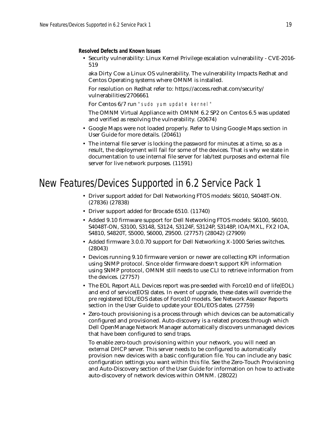**Resolved Defects and Known Issues**

• Security vulnerability: Linux Kernel Privilege escalation vulnerability - CVE-2016- 519

aka Dirty Cow a Linux OS vulnerability. The vulnerability Impacts Redhat and Centos Operating systems where OMNM is installed.

For resolution on Redhat refer to: https://access.redhat.com/security/ vulnerabilities/2706661

For Centos 6/7 run "sudo yum update kernel"

The OMNM Virtual Appliance with OMNM 6.2 SP2 on Centos 6.5 was updated and verified as resolving the vulnerability. (20674)

- Google Maps were not loaded properly. Refer to Using Google Maps section in User Guide for more details. (20461)
- The internal file server is locking the password for minutes at a time, so as a result, the deployment will fail for some of the devices. That is why we state in documentation to use internal file server for lab/test purposes and external file server for live network purposes. (11591)

# New Features/Devices Supported in 6.2 Service Pack 1

- Driver support added for Dell Networking FTOS models: S6010, S4048T-ON. (27836) (27838)
- Driver support added for Brocade 6510. (11740)
- Added 9.10 firmware support for Dell Networking FTOS models: S6100, S6010, S4048T-ON, S3100, S3148, S3124, S3124F, S3124P, S3148P, IOA/MXL, FX2 IOA, S4810, S4820T, S5000, S6000, Z9500. (27757) (28042) (27909)
- Added firmware 3.0.0.70 support for Dell Networking X-1000 Series switches. (28043)
- Devices running 9.10 firmware version or newer are collecting KPI information using SNMP protocol. Since older firmware doesn't support KPI information using SNMP protocol, OMNM still needs to use CLI to retrieve information from the devices. (27757)
- The EOL Report ALL Devices report was pre-seeded with Force10 end of life(EOL) and end of service(EOS) dates. In event of upgrade, these dates will override the pre registered EOL/EOS dates of Force10 models. See Network Assessor Reports section in the User Guide to update your EOL/EOS dates. (27759)
- Zero-touch provisioning is a process through which devices can be automatically configured and provisioned. Auto-discovery is a related process through which Dell OpenManage Network Manager automatically discovers unmanaged devices that have been configured to send traps.

To enable zero-touch provisioning within your network, you will need an external DHCP server. This server needs to be configured to automatically provision new devices with a basic configuration file. You can include any basic configuration settings you want within this file. See the Zero-Touch Provisioning and Auto-Discovery section of the User Guide for information on how to activate auto-discovery of network devices within OMNM. (28022)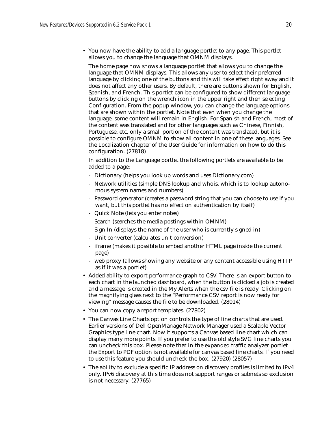• You now have the ability to add a language portlet to any page. This portlet allows you to change the language that OMNM displays.

The home page now shows a language portlet that allows you to change the language that OMNM displays. This allows any user to select their preferred language by clicking one of the buttons and this will take effect right away and it does not affect any other users. By default, there are buttons shown for English, Spanish, and French. This portlet can be configured to show different language buttons by clicking on the wrench icon in the upper right and then selecting Configuration. From the popup window, you can change the language options that are shown within the portlet. Note that even when you change the language, some content will remain in English. For Spanish and French, most of the content was translated and for other languages such as Chinese, Finnish, Portuguese, etc, only a small portion of the content was translated, but it is possible to configure OMNM to show all content in one of these languages. See the Localization chapter of the User Guide for information on how to do this configuration. (27818)

In addition to the Language portlet the following portlets are available to be added to a page:

- Dictionary (helps you look up words and uses Dictionary.com)
- Network utilities (simple DNS lookup and whois, which is to lookup autonomous system names and numbers)
- Password generator (creates a password string that you can choose to use if you want, but this portlet has no effect on authentication by itself)
- Quick Note (lets you enter notes)
- Search (searches the media postings within OMNM)
- Sign In (displays the name of the user who is currently signed in)
- Unit converter (calculates unit conversion)
- iframe (makes it possible to embed another HTML page inside the current page)
- web proxy (allows showing any website or any content accessible using HTTP as if it was a portlet)
- Added ability to export performance graph to CSV. There is an export button to each chart in the launched dashboard, when the button is clicked a job is created and a message is created in the My Alerts when the csv file is ready. Clicking on the magnifying glass next to the "Performance CSV report is now ready for viewing" message causes the file to be downloaded. (28014)
- You can now copy a report templates. (27802)
- The Canvas Line Charts option controls the type of line charts that are used. Earlier versions of Dell OpenManage Network Manager used a Scalable Vector Graphics type line chart. Now it supports a Canvas based line chart which can display many more points. If you prefer to use the old style SVG line charts you can uncheck this box. Please note that in the expanded traffic analyzer portlet the Export to PDF option is not available for canvas based line charts. If you need to use this feature you should uncheck the box. (27920) (28057)
- The ability to exclude a specific IP address on discovery profiles is limited to IPv4 only. IPv6 discovery at this time does not support ranges or subnets so exclusion is not necessary. (27765)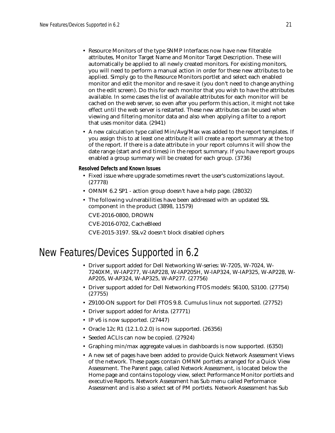- Resource Monitors of the type SNMP Interfaces now have new filterable attributes, Monitor Target Name and Monitor Target Description. These will automatically be applied to all newly created monitors. For existing monitors, you will need to perform a manual action in order for these new attributes to be applied. Simply go to the Resource Monitors portlet and select each enabled monitor and edit the monitor and re-save it (you don't need to change anything on the edit screen). Do this for each monitor that you wish to have the attributes available. In some cases the list of available attributes for each monitor will be cached on the web server, so even after you perform this action, it might not take effect until the web server is restarted. These new attributes can be used when viewing and filtering monitor data and also when applying a filter to a report that uses monitor data. (2941)
- A new calculation type called Min/Avg/Max was added to the report templates. If you assign this to at least one attribute it will create a report summary at the top of the report. If there is a date attribute in your report columns it will show the date range (start and end times) in the report summary. If you have report groups enabled a group summary will be created for each group. (3736)

**Resolved Defects and Known Issues**

- Fixed issue where upgrade sometimes revert the user's customizations layout. (27778)
- OMNM 6.2 SP1 action group doesn't have a help page. (28032)
- The following vulnerabilities have been addressed with an updated SSL component in the product (3898, 11579)

CVE-2016-0800, DROWN

CVE-2016-0702, CacheBleed

CVE-2015-3197. SSLv2 doesn't block disabled ciphers

# New Features/Devices Supported in 6.2

- Driver support added for Dell Networking W-series: W-7205, W-7024, W-7240XM, W-IAP277, W-IAP228, W-IAP205H, W-IAP324, W-IAP325, W-AP228, W-AP205, W-AP324, W-AP325, W-AP277. (27756)
- Driver support added for Dell Networking FTOS models: S6100, S3100. (27754) (27755)
- Z9100-ON support for Dell FTOS 9.8. Cumulus linux not supported. (27752)
- Driver support added for Arista. (27771)
- IP v6 is now supported.  $(27447)$
- Oracle 12c R1 (12.1.0.2.0) is now supported. (26356)
- Seeded ACLIs can now be copied. (27924)
- Graphing min/max aggregate values in dashboards is now supported. (6350)
- A new set of pages have been added to provide Quick Network Assessment Views of the network. These pages contain OMNM portlets arranged for a Quick View Assessment. The Parent page, called Network Assessment, is located below the Home page and contains topology view, select Performance Monitor portlets and executive Reports. Network Assessment has Sub menu called Performance Assessment and is also a select set of PM portlets. Network Assessment has Sub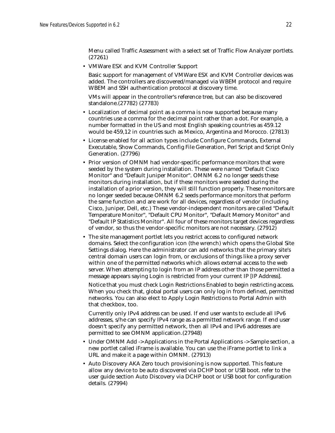Menu called Traffic Assessment with a select set of Traffic Flow Analyzer portlets. (27261)

• VMWare ESX and KVM Controller Support

Basic support for management of VMWare ESX and KVM Controller devices was added. The controllers are discovered/managed via WBEM protocol and require WBEM and SSH authentication protocol at discovery time.

VMs will appear in the controller's reference tree, but can also be discovered standalone.(27782) (27783)

- Localization of decimal point as a comma is now supported because many countries use a comma for the decimal point rather than a dot. For example, a number formatted in the US and most English speaking countries as 459.12 would be 459,12 in countries such as Mexico, Argentina and Morocco. (27813)
- License enabled for all action types include Configure Commands, External Executable, Show Commands, Config File Generation, Perl Script and Script Only Generation. (27796)
- Prior version of OMNM had vendor-specific performance monitors that were seeded by the system during installation. These were named "Default Cisco Monitor" and "Default Juniper Monitor". OMNM 6.2 no longer seeds these monitors during installation, but if these monitors were seeded during the installation of a prior version, they will still function properly. These monitors are no longer seeded because OMNM 6.2 seeds performance monitors that perform the same function and are work for all devices, regardless of vendor (including Cisco, Juniper, Dell, etc.) These vendor-independent monitors are called "Default Temperature Monitor", "Default CPU Monitor", "Default Memory Monitor" and "Default IP Statistics Monitor". All four of these monitors target devices regardless of vendor, so thus the vendor-specific monitors are not necessary. (27912)
- The site management portlet lets you restrict access to configured network domains. Select the configuration icon (the wrench) which opens the Global Site Settings dialog. Here the administrator can add networks that the primary site's central domain users can login from, or exclusions of things like a proxy server within one of the permitted networks which allows external access to the web server. When attempting to login from an IP address other than those permitted a message appears saying Login is restricted from your current IP [IP Address].

Notice that you must check Login Restrictions Enabled to begin restricting access. When you check that, global portal users can only log in from defined, permitted networks. You can also elect to Apply Login Restrictions to Portal Admin with that checkbox, too.

Currently only IPv4 address can be used. If end user wants to exclude all IPv6 addresses, s/he can specify IPv4 range as a permitted network range. If end user doesn't specify any permitted network, then all IPv4 and IPv6 addresses are permitted to see OMNM application.(27948)

- Under OMNM Add -> Applications in the Portal Applications -> Sample section, a new portlet called iFrame is available. You can use the iFrame portlet to link a URL and make it a page within OMNM. (27913)
- Auto Discovery AKA Zero touch provisioning is now supported. This feature allow any device to be auto discovered via DCHP boot or USB boot. refer to the user guide section Auto Discovery via DCHP boot or USB boot for configuration details. (27994)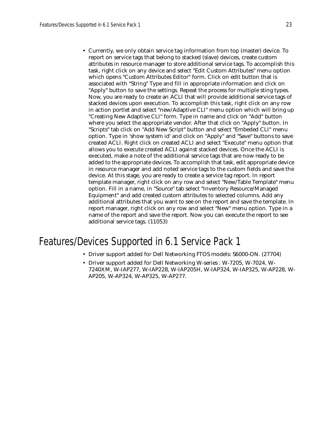• Currently, we only obtain service tag information from top (master) device. To report on service tags that belong to stacked (slave) devices, create custom attributes in resource manager to store additional service tags. To accomplish this task, right click on any device and select "Edit Custom Attributes" menu option which opens "Custom Attributes Editor" form. Click on edit button that is associated with "String" Type and fill in appropriate information and click on "Apply" button to save the settings. Repeat the process for multiple sting types. Now, you are ready to create an ACLI that will provide additional service tags of stacked devices upon execution. To accomplish this task, right click on any row in action portlet and select "new/Adaptive CLI" menu option which will bring up "Creating New Adaptive CLI" form. Type in name and click on "Add" button where you select the appropriate vendor. After that click on "Apply" button. In "Scripts" tab click on "Add New Script" button and select "Embeded CLI" menu option. Type in 'show system id' and click on "Apply" and "Save" buttons to save created ACLI. Right click on created ACLI and select "Execute" menu option that allows you to execute created ACLI against stacked devices. Once the ACLI is executed, make a note of the additional service tags that are now ready to be added to the appropriate devices. To accomplish that task, edit appropriate device in resource manager and add noted service tags to the custom fields and save the device. At this stage, you are ready to create a service tag report. In report template manager, right click on any row and select "New/Table Template" menu option. Fill in a name, in "Source" tab select "Inventory Resource/Managed Equipment" and add created custom attributes to selected columns. Add any additional attributes that you want to see on the report and save the template. In report manager, right click on any row and select "New" menu option. Type in a name of the report and save the report. Now you can execute the report to see additional service tags. (11053)

# Features/Devices Supported in 6.1 Service Pack 1

- Driver support added for Dell Networking FTOS models: S6000-ON. (27704)
- Driver support added for Dell Networking W-series : W-7205, W-7024, W-7240XM, W-IAP277, W-IAP228, W-IAP205H, W-IAP324, W-IAP325, W-AP228, W-AP205, W-AP324, W-AP325, W-AP277.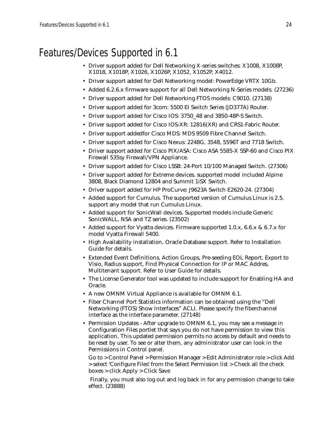# Features/Devices Supported in 6.1

- Driver support added for Dell Networking X-series switches: X1008, X1008P, X1018, X1018P, X1026, X1026P, X1052, X1052P, X4012.
- Driver support added for Dell Networking model: PowerEdge VRTX 10Gb.
- Added 6.2.6.x firmware support for all Dell Networking N-Series models. (27236)
- Driver support added for Dell Networking FTOS models: C9010. (27138)
- Driver support added for 3com: 5500 EI Switch Series (JD377A) Router.
- Driver support added for Cisco IOS: 3750\_48 and 3850-48P-S Switch.
- Driver support added for Cisco IOS-XR: 12816(XR) and CRS1-Fabric Router.
- Driver support addedfor Cisco MDS: MDS 9509 Fibre Channel Switch.
- Driver support added for Cisco Nexus: 2248G, 3548, 5596T and 7718 Switch.
- Driver support added for Cisco PIX/ASA: Cisco ASA 5585-X SSP-60 and Cisco PIX Firewall 535sy Firewall/VPN Appliance.
- Driver support added for Cisco LSSB: 24-Port 10/100 Managed Switch. (27306)
- Driver support added for Extreme devices. supported model included Alpine 3808, Black Diamond 12804 and Summit 1iSX Switch.
- Driver support added for HP ProCurve: J9623A Switch E2620-24. (27304)
- Added support for Cumulus. The supported version of Cumulus Linux is 2.5. support any model that run Cumulus Linux.
- Added support for SonicWall devices. Supported models include Generic SonicWALL, NSA and TZ series. (23502)
- Added support for Vyatta devices. Firmware supported 1.0.x, 6.6.x & 6.7.x for model Vyatta Firewall 5400.
- High Availability installation, Oracle Database support. Refer to Installation Guide for details.
- Extended Event Definitions, Action Groups, Pre-seeding EOL Report, Export to Visio, Radius support, Find Physical Connection for IP or MAC Addres, Multitenant support. Refer to User Guide for details.
- The License Generator tool was updated to include support for Enabling HA and Oracle.
- A new OMNM Virtual Appliance is available for OMNM 6.1.
- Fiber Channel Port Statistics information can be obtained using the "Dell Networking (FTOS) Show Interfaces" ACLI. Please specify the fiberchannel interface as the interface parameter. (27148)
- Permission Updates After upgrade to OMNM 6.1, you may see a message in Configuration Files portlet that says you do not have permission to view this application. This updated permission permits no access by default and needs to be reset by user. To see or alter them, any administrator user can look in the Permissions in Control panel.

Go to > Control Panel > Permission Manager > Edit Administrator role > click Add > select 'Configure Files' from the Select Permission list > Check all the check boxes > click Apply > Click Save

 Finally, you must also log out and log back in for any permission change to take effect. (23888)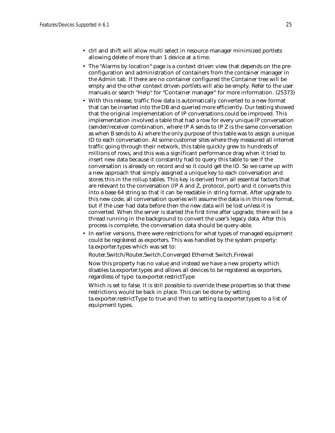- ctrl and shift will allow multi select in resource manager minimized portlets allowing delete of more than 1 device at a time.
- The "Alarms by location" page is a context driven view that depends on the preconfiguration and administration of containers from the container manager in the Admin tab. If there are no container configured the Container tree will be empty and the other context driven portlets will also be empty. Refer to the user manuals or search "Help" for "Container manager" for more information. (25373)
- With this release, traffic flow data is automatically converted to a new format that can be inserted into the DB and queried more efficiently. Our testing showed that the original implementation of IP conversations could be improved. This implementation involved a table that had a row for every unique IP conversation (sender/receiver combination, where IP A sends to IP Z is the same conversation as when B sends to A) where the only purpose of this table was to assign a unique ID to each conversation. At some customer sites where they measured all internet traffic going through their network, this table quickly grew to hundreds of millions of rows, and this was a significant performance drag when it tried to insert new data because it constantly had to query this table to see if the conversation is already on record and so it could get the ID. So we came up with a new approach that simply assigned a unique key to each conversation and stores this in the rollup tables. This key is derived from all essential factors that are relevant to the conversation (IP A and Z, protocol, port) and it converts this into a base 64 string so that it can be readable in string format. After upgrade to this new code, all conversation queries will assume the data is in this new format, but if the user had data before then the new data will be lost unless it is converted. When the server is started the first time after upgrade, there will be a thread running in the background to convert the user's legacy data. After this process is complete, the conversation data should be query-able.
- In earlier versions, there were restrictions for what types of managed equipment could be registered as exporters. This was handled by the system property: ta.exporter.types which was set to:

Router,Switch/Router,Switch,Converged Ethernet Switch,Firewall

Now this property has no value and instead we have a new property which disables ta.exporter.types and allows all devices to be registered as exporters, regardless of type: ta.exporter.restrictType

Which is set to false. It is still possible to override these properties so that these restrictions would be back in place. This can be done by setting ta.exporter.restrictType to true and then to setting ta.exporter.types to a list of equipment types.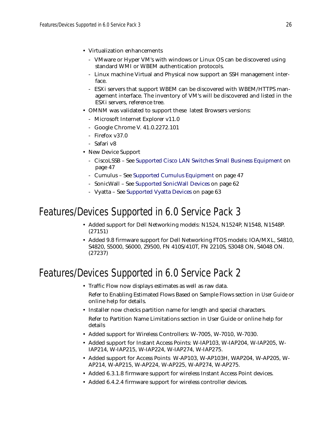- Virtualization enhancements
	- VMware or Hyper VM's with windows or Linux OS can be discovered using standard WMI or WBEM authentication protocols.
	- Linux machine Virtual and Physical now support an SSH management interface.
	- ESXi servers that support WBEM can be discovered with WBEM/HTTPS management interface. The inventory of VM's will be discovered and listed in the ESXi servers, reference tree.
- OMNM was validated to support these latest Browsers versions:
	- Microsoft Internet Explorer v11.0
	- Google Chrome V. 41.0.2272.101
	- Firefox v37.0
	- Safari v8
- New Device Support
	- CiscoLSSB See [Supported Cisco LAN Switches Small Business Equipment on](#page-46-1)  [page 47](#page-46-1)
	- Cumulus See [Supported Cumulus Equipment on page 47](#page-46-0)
	- SonicWall See [Supported SonicWall Devices on page 62](#page-61-1)
	- Vyatta See [Supported Vyatta Devices on page 63](#page-62-0)

# Features/Devices Supported in 6.0 Service Pack 3

- Added support for Dell Networking models: N1524, N1524P, N1548, N1548P. (27151)
- Added 9.8 firmware support for Dell Networking FTOS models: IOA/MXL, S4810, S4820, S5000, S6000, Z9500, FN 410S/410T, FN 2210S, S3048 ON, S4048 ON. (27237)

# Features/Devices Supported in 6.0 Service Pack 2

• Traffic Flow now displays estimates as well as raw data.

Refer to Enabling Estimated Flows Based on Sample Flows section in *User Guide* or online help for details.

- Installer now checks partition name for length and special characters. Refer to Partition Name Limitations section in User Guide or online help for details
- Added support for Wireless Controllers: W-7005, W-7010, W-7030.
- Added support for Instant Access Points: W-IAP103, W-IAP204, W-IAP205, W-IAP214, W-IAP215, W-IAP224, W-IAP274, W-IAP275.
- Added support for Access Points W-AP103, W-AP103H, WAP204, W-AP205, W-AP214, W-AP215, W-AP224, W-AP225, W-AP274, W-AP275.
- Added 6.3.1.8 firmware support for wireless Instant Access Point devices.
- Added 6.4.2.4 firmware support for wireless controller devices.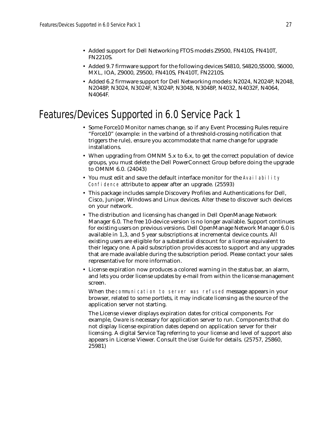- Added support for Dell Networking FTOS models Z9500, FN410S, FN410T, FN2210S.
- Added 9.7 firmware support for the following devices S4810, S4820,S5000, S6000, MXL, IOA, Z9000, Z9500, FN410S, FN410T, FN2210S.
- Added 6.2 firmware support for Dell Networking models: N2024, N2024P, N2048, N2048P, N3024, N3024F, N3024P, N3048, N3048P, N4032, N4032F, N4064, N4064F.

# Features/Devices Supported in 6.0 Service Pack 1

- Some Force10 Monitor names change, so if any Event Processing Rules require "Force10" (example: in the varbind of a threshold-crossing notification that triggers the rule), ensure you accommodate that name change for upgrade installations.
- When upgrading from OMNM 5.x to 6.x, to get the correct population of device groups, you must delete the Dell PowerConnect Group before doing the upgrade to OMNM 6.0. (24043)
- You must edit and save the default interface monitor for the Availability Confidence attribute to appear after an upgrade. (25593)
- This package includes sample Discovery Profiles and Authentications for Dell, Cisco, Juniper, Windows and Linux devices. Alter these to discover such devices on your network.
- The distribution and licensing has changed in Dell OpenManage Network Manager 6.0. The free 10-device version is no longer available. Support continues for existing users on previous versions. Dell OpenManage Network Manager 6.0 is available in 1,3, and 5 year subscriptions at incremental device counts. All existing users are eligible for a substantial discount for a license equivalent to their legacy one. A paid subscription provides access to support and any upgrades that are made available during the subscription period. Please contact your sales representative for more information.
- License expiration now produces a colored warning in the status bar, an alarm, and lets you order license updates by e-mail from within the license management screen.

When the communication to server was refused message appears in your browser, related to some portlets, it may indicate licensing as the source of the application server not starting.

The License viewer displays expiration dates for critical components. For example, *Oware* is necessary for application server to run. Components that do not display license expiration dates depend on application server for their licensing. A digital Service Tag referring to your license and level of support also appears in License Viewer. Consult the *User Guide* for details. (25757, 25860, 25981)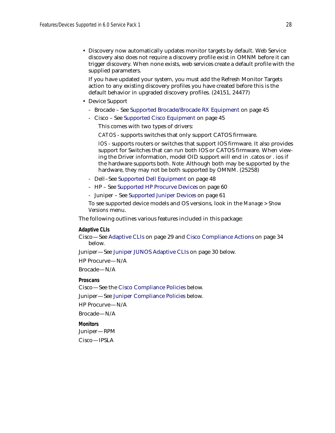• Discovery now automatically updates monitor targets by default. Web Service discovery also does not require a discovery profile exist in OMNM before it can trigger discovery. When none exists, web services create a default profile with the supplied parameters.

If you have updated your system, you must add the Refresh Monitor Targets action to any existing discovery profiles you have created before this is the default behavior in upgraded discovery profiles. (24151, 24477)

- Device Support
	- Brocade See [Supported Brocade/Brocade RX Equipment on page 45](#page-44-0)
	- Cisco See [Supported Cisco Equipment on page 45](#page-44-1)

This comes with two types of drivers:

*CATOS* - supports switches that only support CATOS firmware.

*IOS* - supports routers or switches that support IOS firmware. It also provides support for Switches that can run both IOS or CATOS firmware. When viewing the Driver information, model OID support will end in .catos or . ios if the hardware supports both. *Note:* Although both may be supported by the hardware, they may not be both supported by OMNM. (25258)

- Dell–See [Supported Dell Equipment on page 48](#page-47-0)
- HP See [Supported HP Procurve Devices on page 60](#page-59-0)
- Juniper See [Supported Juniper Devices on page 61](#page-60-0)

To see supported device models and OS versions, look in the *Manage > Show Versions* menu.

The following outlines various features included in this package:

#### **Adaptive CLIs**

Cisco—See [Adaptive CLIs on page 29](#page-28-0) and [Cisco Compliance Actions on page 34](#page-33-0)  below.

Juniper—See [Juniper JUNOS Adaptive CLIs on page 30](#page-29-0) below.

HP Procurve—N/A

Brocade—N/A

**Proscans**

Cisco—See the [Cisco Compliance Policies](#page-30-0) below.

Juniper—See [Juniper Compliance Policies](#page-34-0) below.

HP Procurve—N/A

Brocade—N/A

**Monitors**

Juniper—RPM

Cisco—IPSLA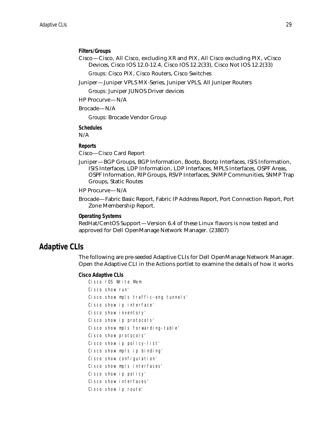### **Filters/Groups**

Cisco—Cisco, All Cisco, excluding XR and PIX, All Cisco excluding PIX, vCisco Devices, Cisco IOS 12.0-12.4, Cisco IOS 12.2(33), Cisco Not IOS 12.2(33)

*Groups:* Cisco PIX, Cisco Routers, Cisco Switches

Juniper—Juniper VPLS MX-Series, Juniper VPLS, All Juniper Routers

*Groups:* Juniper JUNOS Driver devices

HP Procurve—N/A

Brocade—N/A

*Groups:* Brocade Vendor Group

**Schedules** N/A

### **Reports**

Cisco—Cisco Card Report

Juniper—BGP Groups, BGP Information, Bootp, Bootp Interfaces, ISIS Information, ISIS Interfaces, LDP Information, LDP Interfaces, MPLS Interfaces, OSPF Areas, OSPF Information, RIP Groups, RSVP Interfaces, SNMP Communities, SNMP Trap Groups, Static Routes

### HP Procurve—N/A

Brocade—Fabric Basic Report, Fabric IP Address Report, Port Connection Report, Port Zone Membership Report.

### **Operating Systems**

RedHat/CentOS Support—Version 6.4 of these Linux flavors is now tested and approved for Dell OpenManage Network Manager. (23807)

### <span id="page-28-0"></span>**Adaptive CLIs**

The following are pre-seeded Adaptive CLIs for Dell OpenManage Network Manager. Open the Adaptive CLI in the Actions portlet to examine the details of how it works

#### **Cisco Adaptive CLIs**

| Cisco IOS Write Mem                  |
|--------------------------------------|
| Cisco show run'                      |
| Cisco show mpls traffic-eng tunnels' |
| Cisco show ip interface'             |
| Cisco show inventory'                |
| Cisco show ip protocols'             |
| Cisco show mpls forwarding-table'    |
| Cisco show protocols'                |
| Cisco show ip policy-list'           |
| Cisco show mpls ip binding'          |
| Cisco show configuration'            |
| Cisco show mpls interfaces'          |
| Cisco show ip policy'                |
| Cisco show interfaces'               |
| Cisco show ip route'                 |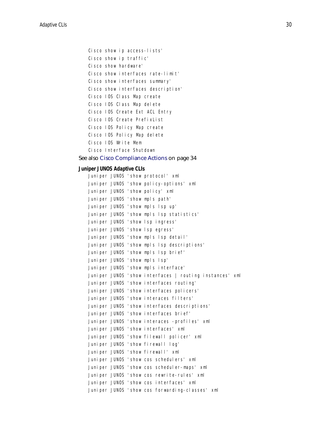```
Cisco show ip access-lists'
Cisco show ip traffic'
Cisco show hardware'
Cisco show interfaces rate-limit'
Cisco show interfaces summary'
Cisco show interfaces description'
Cisco IOS Class Map create
Cisco IOS Class Map delete
Cisco IOS Create Ext ACL Entry
Cisco IOS Create PrefixList
Cisco IOS Policy Map create
Cisco IOS Policy Map delete
Cisco IOS Write Mem
Cisco Interface Shutdown
```
### See also [Cisco Compliance Actions on page 34](#page-33-0)

### <span id="page-29-0"></span>**Juniper JUNOS Adaptive CLIs**

|  |  | Juniper JUNOS 'show protocol' xml                       |
|--|--|---------------------------------------------------------|
|  |  | Juniper JUNOS 'show policy-options' xml                 |
|  |  | Juniper JUNOS 'show policy' xml                         |
|  |  | Juniper JUNOS 'show mpls path'                          |
|  |  | Juniper JUNOS 'show mpls lsp up'                        |
|  |  | Juniper JUNOS 'show mpls lsp statistics'                |
|  |  | Juniper JUNOS 'show lsp ingress'                        |
|  |  | Juniper JUNOS 'show lsp eqress'                         |
|  |  | Juniper JUNOS 'show mpls lsp detail'                    |
|  |  | Juniper JUNOS 'show mpls lsp descriptions'              |
|  |  | Juniper JUNOS 'show mpls lsp brief'                     |
|  |  | Juniper JUNOS 'show mpls lsp'                           |
|  |  | Juniper JUNOS 'show mpls interface'                     |
|  |  | Juniper JUNOS 'show interfaces   routing instances' xml |
|  |  | Juniper JUNOS 'show interfaces routing'                 |
|  |  | Juniper JUNOS 'show interfaces policers'                |
|  |  | Juniper JUNOS 'show interaces filters'                  |
|  |  | Juniper JUNOS 'show interfaces descriptions'            |
|  |  | Juniper JUNOS 'show interfaces brief'                   |
|  |  | Juniper JUNOS 'show interaces -profiles' xml            |
|  |  | Juniper JUNOS 'show interfaces' xml                     |
|  |  | Juniper JUNOS 'show filewall policer' xml               |
|  |  | Juniper JUNOS 'show firewall log'                       |
|  |  | Juniper JUNOS 'show firewall' xml                       |
|  |  | Juniper JUNOS 'show cos schedulers' xml                 |
|  |  | Juniper JUNOS 'show cos scheduler-maps' xml             |
|  |  | Juniper JUNOS 'show cos rewrite-rules' xml              |
|  |  | Juniper JUNOS 'show cos interfaces' xml                 |
|  |  | Juniper JUNOS 'show cos forwarding-classes' xml         |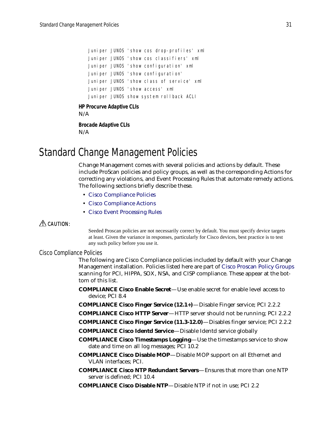Juniper JUNOS 'show cos drop-profiles' xml Juniper JUNOS 'show cos classifiers' xml Juniper JUNOS 'show configuration' xml Juniper JUNOS 'show configuration' Juniper JUNOS 'show class of service' xml Juniper JUNOS 'show access' xml Juniper JUNOS show system rollback ACLI

### **HP Procurve Adaptive CLIs**

N/A

**Brocade Adaptive CLIs** N/A

# <span id="page-30-1"></span>Standard Change Management Policies

Change Management comes with several policies and actions by default. These include ProScan policies and policy groups, as well as the corresponding Actions for correcting any violations, and Event Processing Rules that automate remedy actions. The following sections briefly describe these.

- [Cisco Compliance Policies](#page-30-0)
- [Cisco Compliance Actions](#page-33-0)
- [Cisco Event Processing Rules](#page-34-1)

### $\triangle$  CAUTION:

Seeded Proscan policies are not necessarily correct by default. You must specify device targets at least. Given the variance in responses, particularly for Cisco devices, best practice is to test any such policy before you use it.

### <span id="page-30-0"></span>Cisco Compliance Policies

The following are Cisco Compliance policies included by default with your Change Management installation. Policies listed here are part of [Cisco Proscan Policy Groups](#page-32-0) scanning for PCI, HIPPA, SOX, NSA, and CISP compliance. These appear at the bottom of this list.

**COMPLIANCE Cisco Enable Secret**—Use enable secret for enable level access to device; PCI 8.4

- **COMPLIANCE Cisco Finger Service (12.1+)**—Disable Finger service; PCI 2.2.2
- **COMPLIANCE Cisco HTTP Server**—HTTP server should not be running; PCI 2.2.2
- **COMPLIANCE Cisco Finger Service (11.3-12.0)**—Disables finger service; PCI 2.2.2
- **COMPLIANCE Cisco Identd Service**—Disable Identd service globally
- **COMPLIANCE Cisco Timestamps Logging**—Use the timestamps service to show date and time on all log messages; PCI 10.2
- **COMPLIANCE Cisco Disable MOP**—Disable MOP support on all Ethernet and VLAN interfaces; PCI.
- **COMPLIANCE Cisco NTP Redundant Servers**—Ensures that more than one NTP server is defined; PCI 10.4
- **COMPLIANCE Cisco Disable NTP**—Disable NTP if not in use; PCI 2.2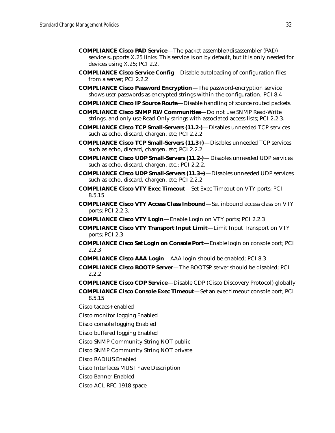- **COMPLIANCE Cisco PAD Service**—The packet assembler/disassembler (PAD) service supports X.25 links. This service is on by default, but it is only needed for devices using X.25; PCI 2.2.
- **COMPLIANCE Cisco Service Config**—Disable autoloading of configuration files from a server; PCI 2.2.2
- **COMPLIANCE Cisco Password Encryption**—The password-encryption service shows user passwords as encrypted strings within the configuration; PCI 8.4
- **COMPLIANCE Cisco IP Source Route**—Disable handling of source routed packets.
- **COMPLIANCE Cisco SNMP RW Communities**—Do not use SNMP Read-Write strings, and only use Read-Only strings with associated access lists; PCI 2.2.3.
- **COMPLIANCE Cisco TCP Small-Servers (11.2-)**—Disables unneeded TCP services such as echo, discard, chargen, etc; PCI 2.2.2
- **COMPLIANCE Cisco TCP Small-Servers (11.3+)**—Disables unneeded TCP services such as echo, discard, chargen, etc; PCI 2.2.2
- **COMPLIANCE Cisco UDP Small-Servers (11.2-)** Disables unneeded UDP services such as echo, discard, chargen, etc.; PCI 2.2.2.
- **COMPLIANCE Cisco UDP Small-Servers (11.3+)**—Disables unneeded UDP services such as echo, discard, chargen, etc; PCI 2.2.2
- **COMPLIANCE Cisco VTY Exec Timeout**—Set Exec Timeout on VTY ports; PCI 8.5.15
- **COMPLIANCE Cisco VTY Access Class Inbound**—Set inbound access class on VTY ports; PCI 2.2.3.
- **COMPLIANCE Cisco VTY Login**—Enable Login on VTY ports; PCI 2.2.3
- **COMPLIANCE Cisco VTY Transport Input Limit**—Limit Input Transport on VTY ports; PCI 2.3
- **COMPLIANCE Cisco Set Login on Console Port**—Enable login on console port; PCI 2.2.3
- **COMPLIANCE Cisco AAA Login**—AAA login should be enabled; PCI 8.3
- **COMPLIANCE Cisco BOOTP Server**—The BOOTSP server should be disabled; PCI 2.2.2
- **COMPLIANCE Cisco CDP Service**—Disable CDP (Cisco Discovery Protocol) globally
- **COMPLIANCE Cisco Console Exec Timeout**—Set an exec timeout console port; PCI 8.5.15
- Cisco tacacs+ enabled
- Cisco monitor logging Enabled
- Cisco console logging Enabled
- Cisco buffered logging Enabled
- Cisco SNMP Community String NOT public
- Cisco SNMP Community String NOT private
- Cisco RADIUS Enabled
- Cisco Interfaces MUST have Description
- Cisco Banner Enabled
- Cisco ACL RFC 1918 space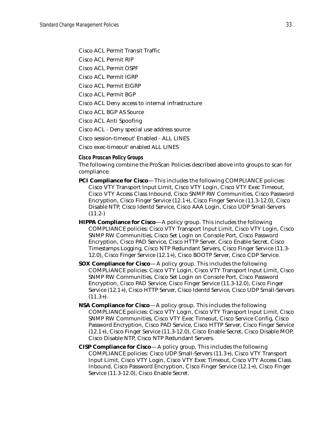Cisco ACL Permit Transit Traffic

Cisco ACL Permit RIP

Cisco ACL Permit OSPF

Cisco ACL Permit IGRP

Cisco ACL Permit EIGRP

Cisco ACL Permit BGP

Cisco ACL Deny access to internal infrastructure

Cisco ACL BGP AS Source

Cisco ACL Anti Spoofing

Cisco ACL - Deny special use address source

Cisco session-timeout' Enabled - ALL LINES

Cisco exec-timeout' enabled ALL LINES

<span id="page-32-0"></span>**Cisco Proscan Policy Groups**

The following combine the ProScan Policies described above into groups to scan for compliance.

- **PCI Compliance for Cisco**—This includes the following COMPLIANCE policies: Cisco VTY Transport Input Limit, Cisco VTY Login, Cisco VTY Exec Timeout, Cisco VTY Access Class Inbound, Cisco SNMP RW Communities, Cisco Password Encryption, Cisco Finger Service (12.1+), Cisco Finger Service (11.3-12.0), Cisco Disable NTP, Cisco Identd Service, Cisco AAA Login, Cisco UDP Small-Servers  $(11.2-)$
- **HIPPA Compliance for Cisco**—A policy group. This includes the following COMPLIANCE policies: Cisco VTY Transport Input Limit, Cisco VTY Login, Cisco SNMP RW Communities, Cisco Set Login on Console Port, Cisco Password Encryption, Cisco PAD Service, Cisco HTTP Server, Cisco Enable Secret, Cisco Timestamps Logging, Cisco NTP Redundant Servers, Cisco Finger Service (11.3- 12.0), Cisco Finger Service (12.1+), Cisco BOOTP Server, Cisco CDP Service.
- **SOX Compliance for Cisco**—A policy group. This includes the following COMPLIANCE policies: Cisco VTY Login, Cisco VTY Transport Input Limit, Cisco SNMP RW Communities, Cisco Set Login on Console Port, Cisco Password Encryption, Cisco PAD Service, Cisco Finger Service (11.3-12.0), Cisco Finger Service (12.1+), Cisco HTTP Server, Cisco Identd Service, Cisco UDP Small-Servers  $(11.3+)$ .
- **NSA Compliance for Cisco**—A policy group. This includes the following COMPLIANCE policies: Cisco VTY Login, Cisco VTY Transport Input Limit, Cisco SNMP RW Communities, Cisco VTY Exec Timeout, Cisco Service Config, Cisco Password Encryption, Cisco PAD Service, Cisco HTTP Server, Cisco Finger Service (12.1+), Cisco Finger Service (11.3-12.0), Cisco Enable Secret, Cisco Disable MOP, Cisco Disable NTP, Cisco NTP Redundant Servers.
- **CISP Compliance for Cisco**—A policy group. This includes the following COMPLIANCE policies: Cisco UDP Small-Servers (11.3+), Cisco VTY Transport Input Limit, Cisco VTY Login, Cisco VTY Exec Timeout, Cisco VTY Access Class Inbound, Cisco Password Encryption, Cisco Finger Service (12.1+), Cisco Finger Service (11.3-12.0), Cisco Enable Secret.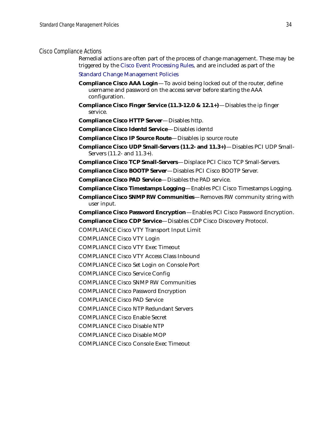### <span id="page-33-0"></span>Cisco Compliance Actions

Remedial actions are often part of the process of change management. These may be triggered by the [Cisco Event Processing Rules,](#page-34-1) and are included as part of the

[Standard Change Management Policies](#page-30-1)

- **Compliance Cisco AAA Login**—To avoid being locked out of the router, define username and password on the access server before starting the AAA configuration.
- **Compliance Cisco Finger Service (11.3-12.0 & 12.1+)**—Disables the ip finger service.
- **Compliance Cisco HTTP Server**—Disables http.
- **Compliance Cisco Identd Service**—Disables identd
- **Compliance Cisco IP Source Route**—Disables ip source route
- **Compliance Cisco UDP Small-Servers (11.2- and 11.3+)**—Disables PCI UDP Small-Servers (11.2- and 11.3+).
- **Compliance Cisco TCP Small-Servers**—Displace PCI Cisco TCP Small-Servers.
- **Compliance Cisco BOOTP Server**—Disables PCI Cisco BOOTP Server.
- **Compliance Cisco PAD Service**—Disables the PAD service.
- **Compliance Cisco Timestamps Logging**—Enables PCI Cisco Timestamps Logging.
- **Compliance Cisco SNMP RW Communities**—Removes RW community string with user input.
- **Compliance Cisco Password Encryption**—Enables PCI Cisco Password Encryption.
- **Compliance Cisco CDP Service**—Disables CDP Cisco Discovery Protocol.
- COMPLIANCE Cisco VTY Transport Input Limit
- COMPLIANCE Cisco VTY Login
- COMPLIANCE Cisco VTY Exec Timeout
- COMPLIANCE Cisco VTY Access Class Inbound
- COMPLIANCE Cisco Set Login on Console Port
- COMPLIANCE Cisco Service Config
- COMPLIANCE Cisco SNMP RW Communities
- COMPLIANCE Cisco Password Encryption
- COMPLIANCE Cisco PAD Service
- COMPLIANCE Cisco NTP Redundant Servers
- COMPLIANCE Cisco Enable Secret
- COMPLIANCE Cisco Disable NTP
- COMPLIANCE Cisco Disable MOP
- COMPLIANCE Cisco Console Exec Timeout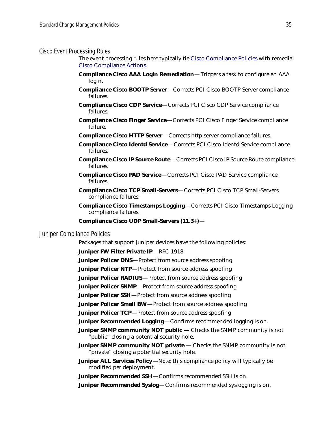#### <span id="page-34-1"></span>Cisco Event Processing Rules

The event processing rules here typically tie [Cisco Compliance Policies](#page-30-0) with remedial [Cisco Compliance Actions](#page-33-0).

- **Compliance Cisco AAA Login Remediation** Triggers a task to configure an AAA login.
- **Compliance Cisco BOOTP Server**—Corrects PCI Cisco BOOTP Server compliance failures.
- **Compliance Cisco CDP Service**—Corrects PCI Cisco CDP Service compliance failures.
- **Compliance Cisco Finger Service**—Corrects PCI Cisco Finger Service compliance failure.
- **Compliance Cisco HTTP Server**—Corrects http server compliance failures.
- **Compliance Cisco Identd Service**—Corrects PCI Cisco Identd Service compliance failures.
- **Compliance Cisco IP Source Route**—Corrects PCI Cisco IP Source Route compliance failures.
- **Compliance Cisco PAD Service**—Corrects PCI Cisco PAD Service compliance failures.
- **Compliance Cisco TCP Small-Servers**—Corrects PCI Cisco TCP Small-Servers compliance failures.
- **Compliance Cisco Timestamps Logging**—Corrects PCI Cisco Timestamps Logging compliance failures.
- **Compliance Cisco UDP Small-Servers (11.3+)**—

### <span id="page-34-0"></span>Juniper Compliance Policies

Packages that support Juniper devices have the following policies:

**Juniper FW Filter Private IP**—RFC 1918

- **Juniper Policer DNS**—Protect from source address spoofing
- **Juniper Policer NTP**—Protect from source address spoofing
- **Juniper Policer RADIUS**—Protect from source address spoofing

**Juniper Policer SNMP**—Protect from source address spoofing

**Juniper Policer SSH**—Protect from source address spoofing

**Juniper Policer Small BW**—Protect from source address spoofing

**Juniper Policer TCP**—Protect from source address spoofing

**Juniper Recommended Logging**—Confirms recommended logging is on.

- **Juniper SNMP community NOT public Checks the SNMP community is not** "public" closing a potential security hole.
- **Juniper SNMP community NOT private** Checks the SNMP community is not "private" closing a potential security hole.
- **Juniper ALL Services Policy**—*Note:* this compliance policy will typically be modified per deployment.

**Juniper Recommended SSH**—Confirms recommended SSH is on.

**Juniper Recommended Syslog**—Confirms recommended syslogging is on.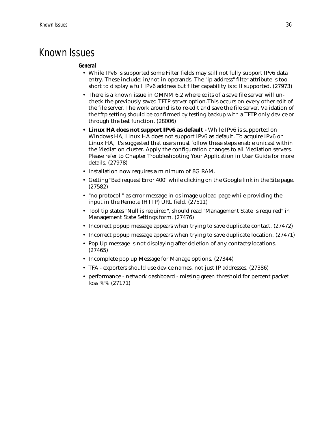## Known Issues

### **General**

- While IPv6 is supported some Filter fields may still not fully support IPv6 data entry. These include: in/not in operands. The "ip address" filter attribute is too short to display a full IPv6 address but filter capability is still supported. (27973)
- There is a known issue in OMNM 6.2 where edits of a save file server will uncheck the previously saved TFTP server option.This occurs on every other edit of the file server. The work around is to re-edit and save the file server. Validation of the tftp setting should be confirmed by testing backup with a TFTP only device or through the test function. (28006)
- **Linux HA does not support IPv6 as default** While IPv6 is supported on Windows HA, Linux HA does not support IPv6 as default. To acquire IPv6 on Linux HA, it's suggested that users must follow these steps enable unicast within the Mediation cluster. Apply the configuration changes to all Mediation servers. Please refer to Chapter Troubleshooting Your Application in User Guide for more details. (27978)
- Installation now requires a minimum of 8G RAM.
- Getting "Bad request Error 400" while clicking on the Google link in the Site page. (27582)
- "no protocol " as error message in os image upload page while providing the input in the Remote (HTTP) URL field. (27511)
- Tool tip states "Null is required", should read "Management State is required" in Management State Settings form. (27476)
- Incorrect popup message appears when trying to save duplicate contact. (27472)
- Incorrect popup message appears when trying to save duplicate location. (27471)
- Pop Up message is not displaying after deletion of any contacts/locations. (27465)
- Incomplete pop up Message for Manage options. (27344)
- TFA exporters should use device names, not just IP addresses. (27386)
- performance network dashboard missing green threshold for percent packet loss %% (27171)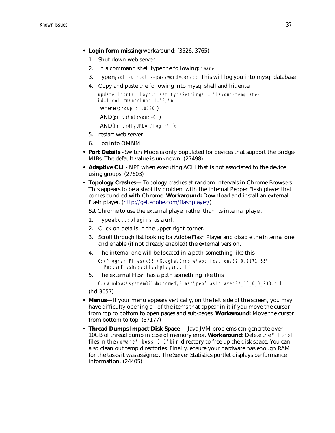- **Login form missing** workaround: (3526, 3765)
	- 1. Shut down web server.
	- 2. In a command shell type the following: oware
	- 3. Type mysql -u root --password=dorado This will log you into mysql database
	- 4. Copy and paste the following into mysql shell and hit enter:

```
update lportal.layout set typeSettings = 'layout-template-
id=1_column\ncolumn-1=58,\n'
where (groupId=10180)
 AND(privateLayout=0 )
 AND(friendlyURL='/login' );
```
- 5. restart web server
- 6. Log into OMNM
- **Port Details** Switch Mode is only populated for devices that support the Bridge-MIBs. The default value is unknown. (27498)
- **Adaptive CLI** NPE when executing ACLI that is not associated to the device using groups. (27603)
- **Topology Crashes—** Topology crashes at random intervals in Chrome Browsers. This appears to be a stability problem with the internal Pepper Flash player that comes bundled with Chrome. **Workaround:** Download and install an external Flash player. (<http://get.adobe.com/flashplayer/>)

Set Chrome to use the external player rather than its internal player.

- 1. Type about:plugins as a url.
- 2. Click on details in the upper right corner.
- 3. Scroll through list looking for Adobe Flash Player and disable the internal one and enable (if not already enabled) the external version.
- 4. The internal one will be located in a path something like this

```
C:\Program Files(x86)\Google\Chrome\Application\39.0.2171.65\ 
  PepperFlash\pepflashplayer.dll"
```
5. The external Flash has a path something like this

C:\Windows\system32\Macromed\Flash\pepflashplayer32\_16\_0\_0\_233.dll (hd-3057)

• **Menus**—If your menu appears vertically, on the left side of the screen, you may have difficulty opening all of the items that appear in it if you move the cursor from top to bottom to open pages and sub-pages. **Workaround**: Move the cursor

from bottom to top. (37177) • **Thread Dumps Impact Disk Space**— Java JVM problems can generate over

10GB of thread dump in case of memory error. **Workaround:** Delete the \*.hprof files in the /oware/jboss-5.1/bin directory to free up the disk space. You can also clean out temp directories. Finally, ensure your hardware has enough RAM for the tasks it was assigned. The Server Statistics portlet displays performance information. (24405)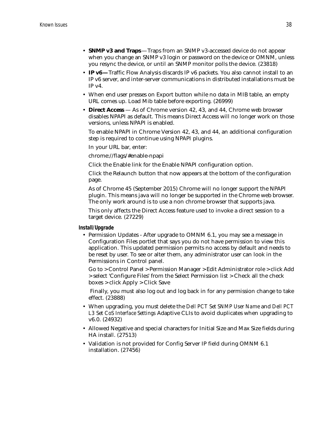- **SNMP v3 and Traps** —Traps from an SNMP v3-accessed device do not appear when you change an SNMP v3 login or password on the device or OMNM, unless you resync the device, or until an SNMP monitor polls the device. (23818)
- **IP v6—**Traffic Flow Analysis discards IP v6 packets. You also cannot install to an IP v6 server, and inter-server communications in distributed installations must be  $IP v4$ .
- When end user presses on Export button while no data in MIB table, an empty URL comes up. Load Mib table before exporting. (26999)
- **Direct Access**  As of Chrome version 42, 43, and 44, Chrome web browser disables NPAPI as default. This means Direct Access will no longer work on those versions, unless NPAPI is enabled.

To enable NPAPI in Chrome Version 42, 43, and 44, an additional configuration step is required to continue using NPAPI plugins.

In your URL bar, enter:

chrome://flags/#enable-npapi

Click the Enable link for the Enable NPAPI configuration option.

Click the Relaunch button that now appears at the bottom of the configuration page.

As of Chrome 45 (September 2015) Chrome will no longer support the NPAPI plugin. This means java will no longer be supported in the Chrome web browser. The only work around is to use a non chrome browser that supports java.

This only affects the Direct Access feature used to invoke a direct session to a target device. (27229)

**Install/Upgrade**

• Permission Updates - After upgrade to OMNM 6.1, you may see a message in Configuration Files portlet that says you do not have permission to view this application. This updated permission permits no access by default and needs to be reset by user. To see or alter them, any administrator user can look in the Permissions in Control panel.

Go to > Control Panel > Permission Manager > Edit Administrator role > click Add > select 'Configure Files' from the Select Permission list > Check all the check boxes > click Apply > Click Save

 Finally, you must also log out and log back in for any permission change to take effect. (23888)

- When upgrading, you must delete the *Dell PCT Set SNMP User Name* and *Dell PCT L3 Set CoS Interface Settings* Adaptive CLIs to avoid duplicates when upgrading to v6.0. (24932)
- Allowed Negative and special characters for Initial Size and Max Size fields during HA install. (27513)
- Validation is not provided for Config Server IP field during OMNM 6.1 installation. (27456)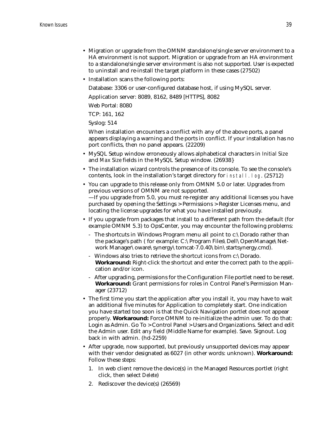- Migration or upgrade from the OMNM standalone/single server environment to a HA environment is not support. Migration or upgrade from an HA environment to a standalone/single server environment is also not supported. User is expected to uninstall and re-install the target platform in these cases (27502)
- Installation scans the following ports:

Database: 3306 or user-configured database host, if using MySQL server.

Application server: 8089, 8162, 8489 [HTTPS], 8082

Web Portal: 8080

TCP: 161, 162

Syslog: 514

When installation encounters a conflict with any of the above ports, a panel appears displaying a warning and the ports in conflict. If your installation has no port conflicts, then no panel appears. (22209)

- MySQL Setup window erroneously allows alphabetical characters in *Initial Size* and *Max Size* fields in the MySQL Setup window. (26938}
- The installation wizard controls the presence of its console. To see the console's contents, look in the installation's target directory for install.log. (25712)
- You can upgrade to this release only from OMNM 5.0 or later. Upgrades from previous versions of OMNM are not supported. —If you upgrade from 5.0, you must re-register any additional licenses you have purchased by opening the Settings > Permissions > Register Licenses menu, and locating the license upgrades for what you have installed previously.
- If you upgrade from packages that install to a different path from the default (for example OMNM 5.3) to OpsCenter, you may encounter the following problems:
	- The shortcuts in Windows Program menu all point to c:\Dorado rather than the package's path ( for example: C:\Program Files\Dell\OpenManage\Network Manager\oware\synergy\tomcat-7.0.40\bin\startsynergy.cmd).
	- Windows also tries to retrieve the shortcut icons from c:\Dorado. **Workaround:** Right-click the shortcut and enter the correct path to the application and/or icon.
	- After upgrading, permissions for the Configuration File portlet need to be reset. **Workaround:** Grant permissions for roles in Control Panel's Permission Manager (23712)
- The first time you start the application after you install it, you may have to wait an additional five minutes for Application to completely start. One indication you have started too soon is that the Quick Navigation portlet does not appear properly. **Workaround:** Force OMNM to re-initialize the admin user. To do that: Login as Admin. Go To > Control Panel > Users and Organizations. Select and edit the Admin user. Edit any field (Middle Name for example). Save. Signout. Log back in with admin. (hd-2259)
- After upgrade, now supported, but previously unsupported devices may appear with their vendor designated as 6027 (in other words: unknown). **Workaround:**  Follow these steps:
	- 1. In web client remove the device(s) in the Managed Resources portlet (right click, then select *Delete*)
	- 2. Rediscover the device(s) (26569)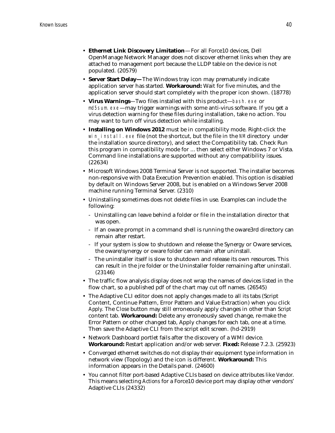- **Ethernet Link Discovery Limitation**—For all Force10 devices, Dell OpenManage Network Manager does not discover ethernet links when they are attached to management port because the LLDP table on the device is not populated. (20579)
- **Server Start Delay—**The Windows tray icon may prematurely indicate application server has started. **Workaround:** Wait for five minutes, and the application server should start completely with the proper icon shown. (18778)
- **Virus Warnings**—Two files installed with this product—bash.exe or md5sum.exe—may trigger warnings with some anti-virus software. If you get a virus detection warning for these files during installation, take no action. You may want to turn off virus detection while installing.
- **Installing on Windows 2012** must be in compatibility mode. Right-click the win install.exe file (not the shortcut, but the file in the NM directory under the installation source directory), and select the Compatibility tab. Check Run this program in compatibility mode for ... then select either Windows 7 or Vista. Command line installations are supported without any compatibility issues. (22634)
- Microsoft Windows 2008 Terminal Server is not supported. The installer becomes non-responsive with Data Execution Prevention enabled. This option is disabled by default on Windows Server 2008, but is enabled on a Windows Server 2008 machine running Terminal Server. (2310)
- Uninstalling sometimes does not delete files in use. Examples can include the following:
	- Uninstalling can leave behind a folder or file in the installation director that was open.
	- If an oware prompt in a command shell is running the oware3rd directory can remain after restart.
	- If your system is slow to shutdown and release the Synergy or Oware services, the oware/synergy or oware folder can remain after uninstall.
	- The uninstaller itself is slow to shutdown and release its own resources. This can result in the jre folder or the Uninstaller folder remaining after uninstall. (23146)
- The traffic flow analysis display does not wrap the names of devices listed in the flow chart, so a published pdf of the chart may cut off names. (26545)
- The Adaptive CLI editor does not apply changes made to all its tabs (Script Content, Continue Pattern, Error Pattern and Value Extraction) when you click *Apply*. The *Close* button may still erroneously apply changes in other than *Script*  content tab. **Workaround:** Delete any erroneously saved change, re-make the Error Pattern or other changed tab, Apply changes for each tab, one at a time. Then save the Adaptive CLI from the script edit screen. (hd-2919)
- Network Dashboard portlet fails after the discovery of a WMI device. **Workaround:** Restart application and/or web server. **Fixed:** Release 7.2.3. (25923)
- Converged ethernet switches do not display their equipment type information in network view (Topology) and the icon is different. **Workaround:** This information appears in the Details panel. (24600)
- You cannot filter port-based Adaptive CLIs based on device attributes like *Vendor*. This means selecting *Actions* for a Force10 device port may display other vendors' Adaptive CLIs (24332)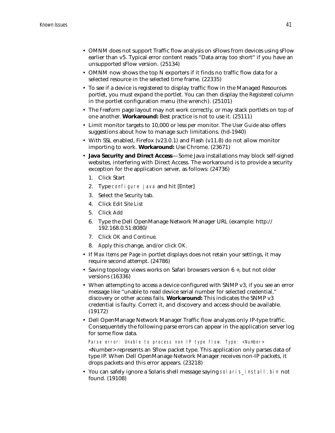- OMNM does not support Traffic flow analysis on sFlows from devices using sFlow earlier than v5. Typical error content reads "Data array too short" if you have an unsupported sFlow version. (25134)
- OMNM now shows the top N exporters if it finds no traffic flow data for a selected resource in the selected time frame. (22335)
- To see if a device is registered to display traffic flow in the Managed Resources portlet, you must expand the portlet. You can then display the *Registered* column in the portlet configuration menu (the wrench). (25101)
- The *Freeform* page layout may not work correctly, or may stack portlets on top of one another. **Workaround:** Best practice is not to use it. (25111)
- Limit monitor targets to 10,000 or less per monitor. The *User Guide* also offers suggestions about how to manage such limitations. (hd-1940)
- With SSL enabled, Firefox (v23.0.1) and Flash (v11.8) do not allow monitor importing to work. **Workaround:** Use Chrome. (23671)
- **Java Security and Direct Access**—Some Java installations may block self-signed websites, interfering with Direct Access. The workaround is to provide a security exception for the application server, as follows: (24736)
	- 1. Click Start
	- 2. Type configure java and hit [Enter]
	- 3. Select the *Security* tab.
	- 4. Click *Edit Site List*
	- 5. Click *Add*
	- 6. Type the Dell OpenManage Network Manager URL (example: http:// 192.168.0.51:8080/
	- 7. Click *OK* and *Continue.*
	- 8. *Apply* this change, and/or click *OK.*
- If *Max Items per Page* in portlet displays does not retain your settings, it may require second attempt. (24786)
- Saving topology views works on Safari browsers version 6 +, but not older versions (16336)
- When attempting to access a device configured with SNMP v3, if you see an error message like "unable to read device serial number for selected credential," discovery or other access fails. **Workaround:** This indicates the SNMP v3 credential is faulty. Correct it, and discovery and access should be available. (19172)
- Dell OpenManage Network Manager Traffic flow analyzes only IP-type traffic. Consequentely the following parse errors can appear in the application server log for some flow data.

Parse error: Unable to process non IP type flow. Type: <Number>

<Number> represents an Sflow packet type. This application only parses data of type IP. When Dell OpenManage Network Manager receives non-IP packets, it drops packets and this error appears. (23218)

• You can safely ignore a Solaris shell message saying solaris\_install.bin not found. (19108)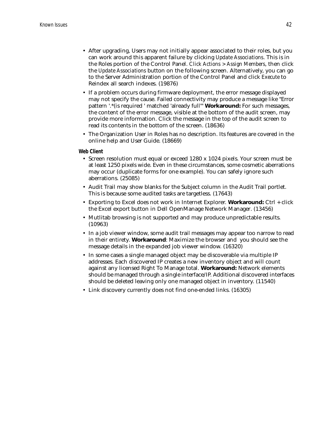- After upgrading, Users may not initially appear associated to their roles, but you can work around this apparent failure by clicking *Update Associations*. This is in the Roles portion of the Control Panel. *Click Actions > Assign Members*, then click the *Update Associations* button on the following screen. Alternatively, you can go to the Server Administration portion of the Control Panel and click *Execute* to Reindex all search indexes. (19876)
- If a problem occurs during firmware deployment, the error message displayed may not specify the cause. Failed connectivity may produce a message like "Error pattern '.\*(is required ' matched 'already full'" **Workaround:** For such messages, the content of the error message, visible at the bottom of the audit screen, may provide more information. Click the message in the top of the audit screen to read its contents in the bottom of the screen. (18636)
- The Organization User in Roles has no description. Its features are covered in the online help and User Guide. (18669)

### **Web Client**

- Screen resolution must equal or exceed 1280 x 1024 pixels. Your screen must be at least 1250 pixels wide. Even in these circumstances, some cosmetic aberrations may occur (duplicate forms for one example). You can safely ignore such aberrations. (25085)
- Audit Trail may show blanks for the Subject column in the Audit Trail portlet. This is because some audited tasks are targetless. (17643)
- Exporting to Excel does not work in Internet Explorer. **Workaround:** Ctrl + click the Excel export button in Dell OpenManage Network Manager. (13456)
- Mutlitab browsing is not supported and may produce unpredictable results. (10963)
- In a job viewer window, some audit trail messages may appear too narrow to read in their entirety. **Workaround**: Maximize the browser and you should see the message details in the expanded job viewer window. (16320)
- In some cases a single managed object may be discoverable via multiple IP addresses. Each discovered IP creates a new inventory object and will count against any licensed Right To Manage total. **Workaround:** Network elements should be managed through a single interface/IP. Additional discovered interfaces should be deleted leaving only one managed object in inventory. (11540)
- Link discovery currently does not find one-ended links. (16305)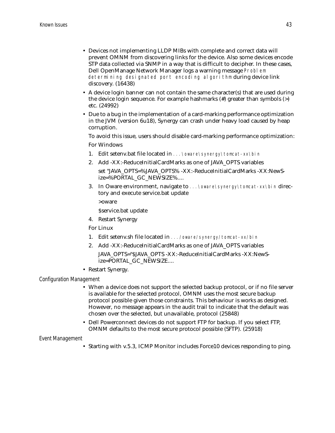- Devices not implementing LLDP MIBs with complete and correct data will prevent OMNM from discovering links for the device. Also some devices encode STP data collected via SNMP in a way that is difficult to decipher. In these cases, Dell OpenManage Network Manager logs a warning message Problem determining designated port encoding algorithm during device link discovery. (16438)
- A device login banner can not contain the same character(s) that are used during the device login sequence. For example hashmarks (#) greater than symbols (>) etc. (24992)
- Due to a bug in the implementation of a card-marking performance optimization in the JVM (version 6u18), Synergy can crash under heavy load caused by heap corruption.

To avoid this issue, users should disable card-marking performance optimization: For Windows

- 1. Edit setenv.bat file located in ...\oware\synergy\tomcat-xx\bin
- 2. Add -XX:-ReduceInitialCardMarks as one of JAVA\_OPTS variables
	- set "JAVA\_OPTS=%JAVA\_OPTS% -XX:-ReduceInitialCardMarks -XX:NewSize=%PORTAL\_GC\_NEWSIZE%....
- 3. In Oware environment, navigate to ... \oware\synergy\tomcat-xx\bin directory and execute service.bat update

>oware

\$service.bat update

4. Restart Synergy

For Linux

- 1. Edit setenv.sh file located in .../oware/synergy/tomcat-xx/bin
- 2. Add -XX:-ReduceInitialCardMarks as one of JAVA\_OPTS variables JAVA\_OPTS="\$JAVA\_OPTS -XX:-ReduceInitialCardMarks -XX:NewSize=PORTAL\_GC\_NEWSIZE....
- Restart Synergy.

*Configuration Management*

- When a device does not support the selected backup protocol, or if no file server is available for the selected protocol, OMNM uses the most secure backup protocol possible given those constraints. This behaviour is works as designed. However, no message appears in the audit trail to indicate that the default was chosen over the selected, but unavailable, protocol (25848)
- Dell Powerconnect devices do not support FTP for backup. If you select FTP, OMNM defaults to the most secure protocol possible (SFTP). (25918)

#### *Event Management*

• Starting with v.5.3, ICMP Monitor includes Force10 devices responding to ping.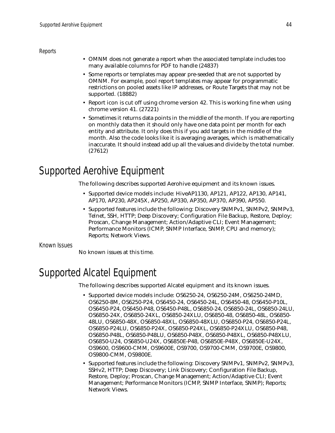*Reports*

- OMNM does not generate a report when the associated template includes too many available columns for PDF to handle (24837)
- Some reports or templates may appear pre-seeded that are not supported by OMNM. For example, pool report templates may appear for programmatic restrictions on pooled assets like IP addresses, or Route Targets that may not be supported. (18882)
- Report icon is cut off using chrome version 42. This is working fine when using chrome version 41. (27221)
- Sometimes it returns data points in the middle of the month. If you are reporting on monthly data then it should only have one data point per month for each entity and attribute. It only does this if you add targets in the middle of the month. Also the code looks like it is averaging averages, which is mathematically inaccurate. It should instead add up all the values and divide by the total number. (27612)

# <span id="page-43-1"></span>Supported Aerohive Equipment

The following describes supported Aerohive equipment and its known issues.

- Supported device models include: HiveAP1130, AP121, AP122, AP130, AP141, AP170, AP230, AP245X, AP250, AP330, AP350, AP370, AP390, AP550.
- Supported features include the following: Discovery SNMPv1, SNMPv2, SNMPv3, Telnet, SSH, HTTP; Deep Discovery; Configuration File Backup, Restore, Deploy; Proscan, Change Management; Action/Adaptive CLI; Event Management; Performance Monitors (ICMP, SNMP Interface, SNMP, CPU and memory); Reports; Network Views.

Known Issues

No known issues at this time.

# <span id="page-43-0"></span>Supported Alcatel Equipment

The following describes supported Alcatel equipment and its known issues.

- Supported device models include: OS6250-24, OS6250-24M, OS6250-24MD, OS6250-8M, OS6250-P24, OS6450-24, OS6450-24L, OS6450-48, OS6450-P10L, OS6450-P24, OS6450-P48, OS6450-P48L, OS6850-24, OS6850-24L, OS6850-24LU, OS6850-24X, OS6850-24XL, OS6850-24XLU, OS6850-48, OS6850-48L, OS6850- 48LU, OS6850-48X, OS6850-48XL, OS6850-48XLU, OS6850-P24, OS6850-P24L, OS6850-P24LU, OS6850-P24X, OS6850-P24XL, OS6850-P24XLU, OS6850-P48, OS6850-P48L, OS6850-P48LU, OS6850-P48X, OS6850-P48XL, OS6850-P48XLU, OS6850-U24, OS6850-U24X, OS6850E-P48, OS6850E-P48X, OS6850E-U24X, OS9600, OS9600-CMM, OS9600E, OS9700, OS9700-CMM, OS9700E, OS9800, OS9800-CMM, OS9800E.
- Supported features include the following: Discovery SNMPv1, SNMPv2, SNMPv3, SSHv2, HTTP; Deep Discovery; Link Discovery; Configuration File Backup, Restore, Deploy; Proscan, Change Management; Action/Adaptive CLI; Event Management; Performance Monitors (ICMP, SNMP Interface, SNMP); Reports; Network Views.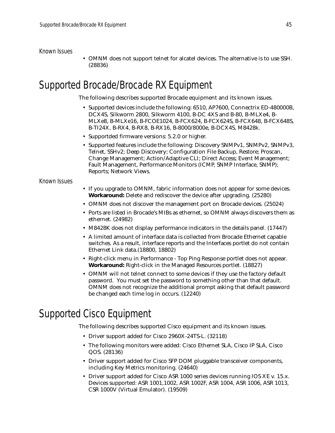### Known Issues

• OMNM does not support telnet for alcatel devices. The alternative is to use SSH. (28836)

# <span id="page-44-0"></span>Supported Brocade/Brocade RX Equipment

The following describes supported Brocade equipment and its known issues.

- Supported devices include the following: 6510, AP7600, Connectrix ED-480000B, DCX4S, Silkworm 2800, Silkworm 4100, B-DC 4XS and B-80, B-MLXe4, B-MLXe8, B-MLXe16, B-FCOE1024, B-FCX624, B-FCX624S, B-FCX648, B-FCX648S, B-TI24X, B-RX4, B-RX8, B-RX16, B-8000/8000e, B-DCX4S, M8428k.
- Supportded firmware versions: 5.2.0 or higher.
- Supported features include the following: Discovery SNMPv1, SNMPv2, SNMPv3, Telnet, SSHv2; Deep Discovery; Configuration File Backup, Restore; Proscan, Change Management; Action/Adaptive CLI; Direct Access; Event Management; Fault Management, Performance Monitors (ICMP, SNMP Interface, SNMP); Reports; Network Views.

### Known Issues

- If you upgrade to OMNM, fabric information does not appear for some devices. **Workaround:** Delete and rediscover the device after upgrading. (25280)
- OMNM does not discover the management port on Brocade devices. (25024)
- Ports are listed in Brocade's MIBs as ethernet, so OMNM always discovers them as ethernet. (24982)
- M8428K does not display performance indicators in the details panel. (17447)
- A limited amount of interface data is collected from Brocade Ethernet capable switches. As a result, interface reports and the Interfaces portlet do not contain Ethernet Link data.(18800, 18802)
- Right-click menu in Performance Top Ping Response portlet does not appear. **Workaround:** Right-click in the Managed Resources portlet. (18827)
- OMNM will not telnet connect to some devices if they use the factory default password. You must set the password to something other than that default. OMNM does not recognize the additional prompt asking that default password be changed each time log in occurs. (12240)

# <span id="page-44-1"></span>Supported Cisco Equipment

The following describes supported Cisco equipment and its known issues.

- Driver support added for Cisco 2960X-24TS-L. (32118)
- The following monitors were added: Cisco Ethernet SLA, Cisco IP SLA, Cisco QOS. (28136)
- Driver support added for Cisco SFP DOM pluggable transceiver components, including Key Metrics monitoring. (24640)
- Driver support added for Cisco ASR 1000 series devices running IOS XE v. 15.x. Devices supported: ASR 1001,1002, ASR 1002F, ASR 1004, ASR 1006, ASR 1013, CSR 1000V (Virtual Emulator). (19509)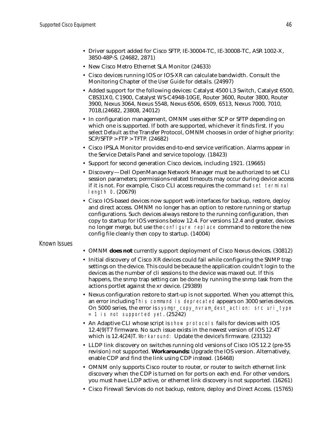- Driver support added for Cisco SFTP, IE-30004-TC, IE-30008-TC, ASR 1002-X, 3850-48P-S. (24682, 2871)
- New Cisco Metro Ethernet SLA Monitor (24633)
- Cisco devices running IOS or IOS-XR can calculate bandwidth. Consult the Monitoring Chapter of the *User Guide* for details. (24997)
- Added support for the following devices: Catalyst 4500 L3 Switch, Catalyst 6500, CBS31X0, C1900, Catalyst WS-C4948-10GE, Router 3600, Router 3800, Router 3900, Nexus 3064, Nexus 5548, Nexus 6506, 6509, 6513, Nexus 7000, 7010, 7018,(24682, 23808, 24012)
- In configuration management, OMNM uses either SCP or SFTP depending on which one is supported. If both are supported, whichever it finds first. If you select *Default* as the Transfer Protocol, OMNM chooses in order of higher priority: SCP/SFTP > FTP > TFTP. (24682)
- Cisco IPSLA Monitor provides end-to-end service verification. Alarms appear in the Service Details Panel and service topology. (18423)
- Support for second generation Cisco devices, including 1921. (19665)
- Discovery—Dell OpenManage Network Manager must be authorized to set CLI session parameters; permissions-related timeouts may occur during device access if it is not. For example, Cisco CLI access requires the command set terminal length 0. (20679)
- Cisco IOS-based devices now support web interfaces for backup, restore, deploy and direct access. OMNM no longer has an option to restore running or startup configurations. Such devices always restore to the running configuration, then copy to startup for IOS versions below 12.4. For versions 12.4 and greater, devices no longer merge, but use the configure replace command to restore the new config file cleanly then copy to startup. (14004)

### Known Issues

- OMNM **does not** currently support deployment of Cisco Nexus devices. (30812)
- Initial discovery of Cisco XR devices could fail while configuring the SNMP trap settings on the device. This could be because the application couldn't login to the devices as the number of cli sessions to the device was maxed out. If this happens, the snmp trap setting can be done by running the snmp task from the actions portlet against the xr device. (29389)
- Nexus configuration restore to start-up is not supported. When you attempt this, an error including This command is deprecated appears on 3000 series devices. On 5000 series, the error is sysmgr\_copy\_nvram\_dest\_action: src uri\_type = 1 is not supported yet. (25242)
- An Adaptive CLI whose script is show protocols fails for devices with IOS 12.4(9)T7 firmware. No such issue exists in the newest version of IOS 12.4T which is 12.4(24)T. Workaround: Update the device's firmware. (23132)
- LLDP link discovery on switches running old versions of Cisco IOS 12.2 (pre-55 revision) not supported. **Workarounds:** Upgrade the IOS version. Alternatively, enable CDP and find the link using CDP instead. (16468)
- OMNM only supports Cisco router to router, or router to switch ethernet link discovery when the CDP is turned on for ports on each end. For other vendors, you must have LLDP active, or ethernet link discovery is not supported. (16261)
- Cisco Firewall Services do not backup, restore, deploy and Direct Access. (15765)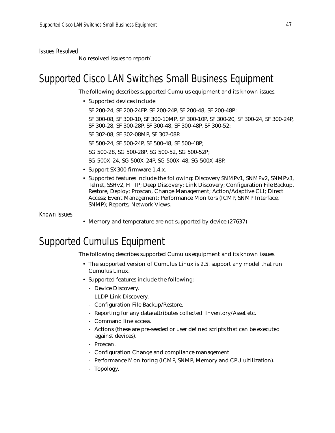Issues Resolved

No resolved issues to report/

# <span id="page-46-1"></span>Supported Cisco LAN Switches Small Business Equipment

The following describes supported Cumulus equipment and its known issues.

• Supported devices include:

SF 200-24, SF 200-24FP, SF 200-24P, SF 200-48, SF 200-48P:

SF 300-08, SF 300-10, SF 300-10MP, SF 300-10P, SF 300-20, SF 300-24, SF 300-24P, SF 300-28, SF 300-28P, SF 300-48, SF 300-48P, SF 300-52:

SF 302-08, SF 302-08MP, SF 302-08P.

SF 500-24, SF 500-24P, SF 500-48, SF 500-48P;

SG 500-28, SG 500-28P, SG 500-52, SG 500-52P;

SG 500X-24, SG 500X-24P, SG 500X-48, SG 500X-48P.

- Support SX300 firmware 1.4.x.
- Supported features include the following: Discovery SNMPv1, SNMPv2, SNMPv3, Telnet, SSHv2, HTTP; Deep Discovery; Link Discovery; Configuration File Backup, Restore, Deploy; Proscan, Change Management; Action/Adaptive CLI; Direct Access; Event Management; Performance Monitors (ICMP, SNMP Interface, SNMP); Reports; Network Views.

Known Issues

• Memory and temperature are not supported by device. (27637)

# <span id="page-46-0"></span>Supported Cumulus Equipment

The following describes supported Cumulus equipment and its known issues.

- The supported version of Cumulus Linux is 2.5. support any model that run Cumulus Linux.
- Supported features include the following:
	- Device Discovery.
	- LLDP Link Discovery.
	- Configuration File Backup/Restore.
	- Reporting for any data/attributes collected. Inventory/Asset etc.
	- Command line access.
	- Actions (these are pre-seeded or user defined scripts that can be executed against devices).
	- Proscan.
	- Configuration Change and compliance management
	- Performance Monitoring (ICMP, SNMP, Memory and CPU ultilization).
	- Topology.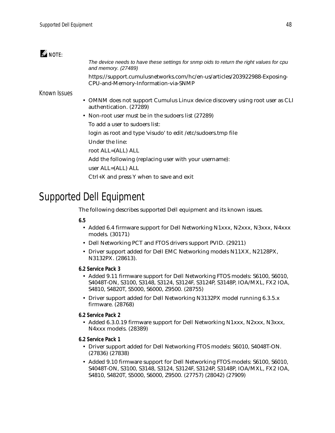### $\mathscr{Q}$  note:

*The device needs to have these settings for snmp oids to return the right values for cpu and memory. (27489)*

https://support.cumulusnetworks.com/hc/en-us/articles/203922988-Exposing-CPU-and-Memory-Information-via-SNMP

### Known Issues

- OMNM does not support Cumulus Linux device discovery using root user as CLI authentication. (27289)
- Non-root user must be in the sudoers list (27289)

To add a user to sudoers list:

login as root and type 'visudo' to edit /etc/sudoers.tmp file

- Under the line:
- root ALL=(ALL) ALL
- Add the following (replacing user with your username):
- user ALL=(ALL) ALL
- Ctrl+X and press Y when to save and exit

# <span id="page-47-0"></span>Supported Dell Equipment

The following describes supported Dell equipment and its known issues.

### **6.5**

- Added 6.4 firmware support for Dell Networking N1xxx, N2xxx, N3xxx, N4xxx models. (30171)
- Dell Networking PCT and FTOS drivers support PVID. (29211)
- Driver support added for Dell EMC Networking models N11XX, N2128PX, N3132PX. (28613).
- **6.2 Service Pack 3**
	- Added 9.11 firmware support for Dell Networking FTOS models: S6100, S6010, S4048T-ON, S3100, S3148, S3124, S3124F, S3124P, S3148P, IOA/MXL, FX2 IOA, S4810, S4820T, S5000, S6000, Z9500. (28755)
	- Driver support added for Dell Networking N3132PX model running 6.3.5.x firmware. (28768)
- **6.2 Service Pack 2**
	- Added 6.3.0.19 firmware support for Dell Networking N1xxx, N2xxx, N3xxx, N4xxx models. (28389)
- **6.2 Service Pack 1**
	- Driver support added for Dell Networking FTOS models: S6010, S4048T-ON. (27836) (27838)
	- Added 9.10 firmware support for Dell Networking FTOS models: S6100, S6010, S4048T-ON, S3100, S3148, S3124, S3124F, S3124P, S3148P, IOA/MXL, FX2 IOA, S4810, S4820T, S5000, S6000, Z9500. (27757) (28042) (27909)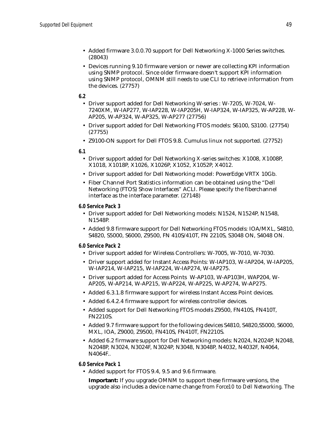- Added firmware 3.0.0.70 support for Dell Networking X-1000 Series switches. (28043)
- Devices running 9.10 firmware version or newer are collecting KPI information using SNMP protocol. Since older firmware doesn't support KPI information using SNMP protocol, OMNM still needs to use CLI to retrieve information from the devices. (27757)

**6.2**

- Driver support added for Dell Networking W-series : W-7205, W-7024, W-7240XM, W-IAP277, W-IAP228, W-IAP205H, W-IAP324, W-IAP325, W-AP228, W-AP205, W-AP324, W-AP325, W-AP277 (27756)
- Driver support added for Dell Networking FTOS models: S6100, S3100. (27754) (27755)
- Z9100-ON support for Dell FTOS 9.8. Cumulus linux not supported. (27752)

**6.1**

- Driver support added for Dell Networking X-series switches: X1008, X1008P, X1018, X1018P, X1026, X1026P, X1052, X1052P, X4012.
- Driver support added for Dell Networking model: PowerEdge VRTX 10Gb.
- Fiber Channel Port Statistics information can be obtained using the "Dell Networking (FTOS) Show Interfaces" ACLI. Please specify the fiberchannel interface as the interface parameter. (27148)

**6.0 Service Pack 3**

- Driver support added for Dell Networking models: N1524, N1524P, N1548, N1548P.
- Added 9.8 firmware support for Dell Networking FTOS models: IOA/MXL, S4810, S4820, S5000, S6000, Z9500, FN 410S/410T, FN 2210S, S3048 ON, S4048 ON.
- **6.0 Service Pack 2**
	- Driver support added for Wireless Controllers: W-7005, W-7010, W-7030.
	- Driver support added for Instant Access Points: W-IAP103, W-IAP204, W-IAP205, W-IAP214, W-IAP215, W-IAP224, W-IAP274, W-IAP275.
	- Driver support added for Access Points W-AP103, W-AP103H, WAP204, W-AP205, W-AP214, W-AP215, W-AP224, W-AP225, W-AP274, W-AP275.
	- Added 6.3.1.8 firmware support for wireless Instant Access Point devices.
	- Added 6.4.2.4 firmware support for wireless controller devices.
	- Added support for Dell Networking FTOS models Z9500, FN410S, FN410T, FN2210S.
	- Added 9.7 firmware support for the following devices S4810, S4820,S5000, S6000, MXL, IOA, Z9000, Z9500, FN410S, FN410T, FN2210S.
	- Added 6.2 firmware support for Dell Networking models: N2024, N2024P, N2048, N2048P, N3024, N3024F, N3024P, N3048, N3048P, N4032, N4032F, N4064, N4064F..
- **6.0 Service Pack 1**
	- Added support for FTOS 9.4, 9.5 and 9.6 firmware.

**Important:** If you upgrade OMNM to support these firmware versions, the upgrade also includes a device name change from *Force10* to *Dell Networking*. The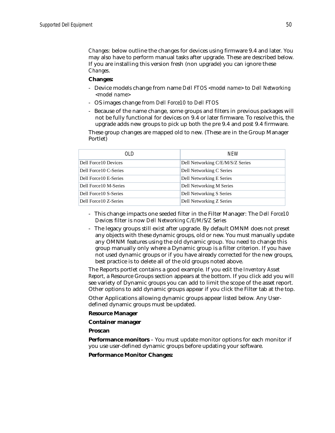*Changes:* below outline the changes for devices using firmware 9.4 and later. You may also have to perform manual tasks after upgrade. These are described below. If you are installing this version fresh (non upgrade) you can ignore these *Changes*.

### **Changes:**

- Device models change from name *Dell FTOS <model name>* to *Dell Networking <model name>*
- OS images change from *Dell Force10* to *Dell FTOS*
- Because of the name change, some groups and filters in previous packages will not be fully functional for devices on 9.4 or later firmware. To resolve this, the upgrade adds new groups to pick up both the pre 9.4 and post 9.4 firmware.

These group changes are mapped old to new. (These are in the Group Manager Portlet)

| 0I D                   | <b>NFW</b>                       |
|------------------------|----------------------------------|
| Dell Force10 Devices   | Dell Networking C/E/M/S/Z Series |
| Dell Force10 C-Series  | Dell Networking C Series         |
| Dell Force 10 E-Series | Dell Networking E Series         |
| Dell Force10 M-Series  | Dell Networking M Series         |
| Dell Force10 S-Series  | Dell Networking S Series         |
| Dell Force10 Z-Series  | Dell Networking Z Series         |

- This change impacts one seeded filter in the Filter Manager: The *Dell Force10 Devices* filter is now *Dell Networking C/E/M/S/Z Series*
- The legacy groups still exist after upgrade. By default OMNM does not preset any objects with these dynamic groups, old or new. You must manually update any OMNM features using the old dynamic group. You need to change this group manually only where a Dynamic group is a filter criterion. If you have not used dynamic groups or if you have already corrected for the new groups, best practice is to delete all of the old groups noted above.

The Reports portlet contains a good example. If you edit the *Inventory Asset Report*, a Resource Groups section appears at the bottom. If you click add you will see variety of Dynamic groups you can add to limit the scope of the asset report. Other options to add dynamic groups appear if you click the Filter tab at the top.

Other Applications allowing dynamic groups appear listed below. Any Userdefined dynamic groups must be updated.

### **Resource Manager**

**Container manager**

**Proscan**

**Performance monitors** – You must update monitor options for each monitor if you use user-defined dynamic groups before updating your software.

**Performance Monitor Changes:**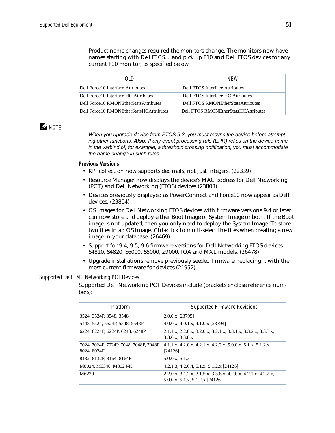Product name changes required the monitors change. The monitors now have names starting with *Dell FTOS…* and pick up F10 and Dell FTOS devices for any current F10 monitor, as specified below.

| N D                                        | <b>NFW</b>                           |
|--------------------------------------------|--------------------------------------|
| Dell Force10 Interface Attributes          | Dell FTOS Interface Attributes       |
| Dell Force 10 Interface HC Attributes      | Dell FTOS Interface HC Attributes    |
| Dell Force 10 RMONE therStats Attributes   | Dell FTOS RMONEtherStatsAttributes   |
| Dell Force 10 RMONE therStats HCAttributes | Dell FTOS RMONEtherStatsHCAttributes |

### $\mathscr{Q}$  note:

*When you upgrade device from FTOS 9.3, you must resync the device before attempting other functions. Also: If any event processing rule (EPR) relies on the device name in the varbind of, for example, a threshold crossing notification, you must accommodate the name change in such rules.*

### **Previous Versions**

- KPI collection now supports decimals, not just integers. (22339)
- Resource Manager now displays the device's MAC address for Dell Networking (PCT) and Dell Networking (FTOS) devices (23803)
- Devices previously displayed as PowerConnect and Force10 now appear as Dell devices. (23804)
- OS Images for Dell Networking FTOS devices with firmware versions 9.4 or later can now store and deploy either Boot Image or System Image or both. If the Boot image is not updated, then you only need to deploy the System Image. To store two files in an OS Image, Ctrl+click to multi-select the files when creating a new image in your database. (26469)
- Support for 9.4, 9.5, 9.6 firmware versions for Dell Networking FTOS devices S4810, S4820, S6000, S5000, Z9000, IOA and MXL models. (26478).
- Upgrade installations remove previously seeded firmware, replacing it with the most current firmware for devices (21952)

### *Supported Dell EMC Networking PCT Devices*

Supported Dell Networking PCT Devices include (brackets enclose reference numbers):

| Platform                                               | <b>Supported Firmware Revisions</b>                                                               |
|--------------------------------------------------------|---------------------------------------------------------------------------------------------------|
| 3524, 3524P, 3548, 3548                                | 2.0.0.x [23795]                                                                                   |
| 5448, 5524, 5524P, 5548, 5548P                         | 4.0.0.x, 4.0.1.x, 4.1.0.x [23794]                                                                 |
| 6224, 6224F, 6224P, 6248, 6248P                        | 2.1.1.x, 2.2.0.x, 3.2.0.x, 3.2.1.x, 3.3.1.x, 3.3.2.x, 3.3.3.x,<br>3.3.6.x, 3.3.8.x                |
| 7024, 7024F, 7024P, 7048, 7048P, 7048F,<br>8024, 8024F | $4.1.1.x$ , $4.2.0.x$ , $4.2.1.x$ , $4.2.2.x$ , $5.0.0.x$ , $5.1.x$ , $5.1.2.x$<br>[24126]        |
| 8132, 8132F, 8164, 8164F                               | 5.0.0.x, 5.1.x                                                                                    |
| M8024, M6348, M8024-K                                  | 4.2.1.3, 4.2.0.4, 5.1.x, 5.1.2.x $[24126]$                                                        |
| M6220                                                  | 2.2.0.x, 3.1.2.x, 3.1.5.x, 3.3.8.x, 4.2.0.x, 4.2.1.x, 4.2.2.x,<br>5.0.0.x, 5.1.x, 5.1.2.x [24126] |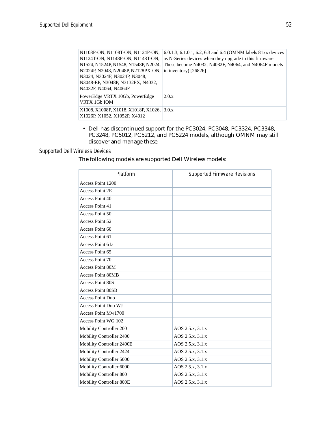| N1108P-ON, N1108T-ON, N1124P-ON,           | 6.0.1.3, 6.1.0.1, 6.2, 6.3 and 6.4 (OMNM labels 81xx devices |
|--------------------------------------------|--------------------------------------------------------------|
| N1124T-ON, N1148P-ON, N1148T-ON,           | as N-Series devices when they upgrade to this firmware.      |
| N1524, N1524P, N1548, N1548P, N2024,       | These become N4032, N4032F, N4064, and N4064F models         |
| N2024P, N2048, N2048P, N2128PX-ON,         | in inventory) $[26826]$                                      |
| N3024, N3024F, N3024P, N3048,              |                                                              |
| N3048-EP, N3048P, N3132PX, N4032,          |                                                              |
| N4032F, N4064, N4064F                      |                                                              |
| PowerEdge VRTX 10Gb, PowerEdge             | 2.0.x                                                        |
| VRTX 1Gb IOM                               |                                                              |
| X1008, X1008P, X1018, X1018P, X1026, 3.0.x |                                                              |
| X1026P, X1052, X1052P, X4012               |                                                              |
|                                            |                                                              |

• Dell has discontinued support for the PC3024, PC3048, PC3324, PC3348, PC3248, PC5012, PC5212, and PC5224 models, although OMNM may still discover and manage these.

### *Supported Dell Wireless Devices*

The following models are supported Dell Wireless models:

| Platform                   | <b>Supported Firmware Revisions</b> |
|----------------------------|-------------------------------------|
| Access Point 1200          |                                     |
| <b>Access Point 2E</b>     |                                     |
| Access Point 40            |                                     |
| Access Point 41            |                                     |
| Access Point 50            |                                     |
| Access Point 52            |                                     |
| Access Point 60            |                                     |
| Access Point 61            |                                     |
| Access Point 61a           |                                     |
| Access Point 65            |                                     |
| Access Point 70            |                                     |
| <b>Access Point 80M</b>    |                                     |
| <b>Access Point 80MB</b>   |                                     |
| <b>Access Point 80S</b>    |                                     |
| <b>Access Point 80SB</b>   |                                     |
| <b>Access Point Duo</b>    |                                     |
| <b>Access Point Duo WJ</b> |                                     |
| Access Point Mw1700        |                                     |
| Access Point WG 102        |                                     |
| Mobility Controller 200    | AOS 2.5.x, 3.1.x                    |
| Mobility Controller 2400   | AOS 2.5.x, 3.1.x                    |
| Mobility Controller 2400E  | AOS 2.5.x, 3.1.x                    |
| Mobility Controller 2424   | AOS 2.5.x, 3.1.x                    |
| Mobility Controller 5000   | AOS 2.5.x, 3.1.x                    |
| Mobility Controller 6000   | AOS 2.5.x, 3.1.x                    |
| Mobility Controller 800    | AOS 2.5.x, 3.1.x                    |
| Mobility Controller 800E   | AOS 2.5.x, 3.1.x                    |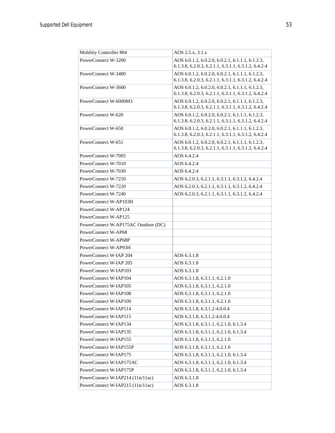| Mobility Controller 804             | AOS 2.5.x, 3.1.x                                                                                         |
|-------------------------------------|----------------------------------------------------------------------------------------------------------|
| PowerConnect W-3200                 | AOS 6.0.1.2, 6.0.2.0, 6.0.2.1, 6.1.1.1, 6.1.2.3,                                                         |
|                                     | 6.1.3.8, 6.2.0.3, 6.2.1.1, 6.3.1.1, 6.3.1.2, 6.4.2.4                                                     |
| PowerConnect W-3400                 | AOS 6.0.1.2, 6.0.2.0, 6.0.2.1, 6.1.1.1, 6.1.2.3,                                                         |
|                                     | 6.1.3.8, 6.2.0.3, 6.2.1.1, 6.3.1.1, 6.3.1.2, 6.4.2.4                                                     |
| PowerConnect W-3600                 | AOS 6.0.1.2, 6.0.2.0, 6.0.2.1, 6.1.1.1, 6.1.2.3,<br>6.1.3.8, 6.2.0.3, 6.2.1.1, 6.3.1.1, 6.3.1.2, 6.4.2.4 |
| PowerConnect W-6000M3               | AOS 6.0.1.2, 6.0.2.0, 6.0.2.1, 6.1.1.1, 6.1.2.3,                                                         |
|                                     | 6.1.3.8, 6.2.0.3, 6.2.1.1, 6.3.1.1, 6.3.1.2, 6.4.2.4                                                     |
| PowerConnect W-620                  | AOS 6.0.1.2, 6.0.2.0, 6.0.2.1, 6.1.1.1, 6.1.2.3,                                                         |
|                                     | 6.1.3.8, 6.2.0.3, 6.2.1.1, 6.3.1.1, 6.3.1.2, 6.4.2.4                                                     |
| PowerConnect W-650                  | AOS 6.0.1.2, 6.0.2.0, 6.0.2.1, 6.1.1.1, 6.1.2.3,                                                         |
|                                     | 6.1.3.8, 6.2.0.3, 6.2.1.1, 6.3.1.1, 6.3.1.2, 6.4.2.4                                                     |
| PowerConnect W-651                  | AOS 6.0.1.2, 6.0.2.0, 6.0.2.1, 6.1.1.1, 6.1.2.3,<br>6.1.3.8, 6.2.0.3, 6.2.1.1, 6.3.1.1, 6.3.1.2, 6.4.2.4 |
| PowerConnect W-7005                 | AOS 6.4.2.4                                                                                              |
| PowerConnect W-7010                 | AOS 6.4.2.4                                                                                              |
| PowerConnect W-7030                 | AOS 6.4.2.4                                                                                              |
| PowerConnect W-7210                 | AOS 6.2.0.3, 6.2.1.1, 6.3.1.1, 6.3.1.2, 6.4.2.4                                                          |
| PowerConnect W-7220                 | AOS 6.2.0.3, 6.2.1.1, 6.3.1.1, 6.3.1.2, 6.4.2.4                                                          |
| PowerConnect W-7240                 | AOS 6.2.0.3, 6.2.1.1, 6.3.1.1, 6.3.1.2, 6.4.2.4                                                          |
| PowerConnect W-AP103H               |                                                                                                          |
| PowerConnect W-AP124                |                                                                                                          |
| PowerConnect W-AP125                |                                                                                                          |
| PowerConnect W-AP175AC Outdoor (DC) |                                                                                                          |
| PowerConnect W-AP68                 |                                                                                                          |
| PowerConnect W-AP68P                |                                                                                                          |
| PowerConnect W-AP93H                |                                                                                                          |
| PowerConnect W-IAP 204              | AOS 6.3.1.8                                                                                              |
| PowerConnect W-IAP 205              | AOS 6.3.1.8                                                                                              |
| PowerConnect W-IAP103               | AOS 6.3.1.8                                                                                              |
| PowerConnect W-IAP104               | AOS 6.3.1.8, 6.3.1.1, 6.2.1.0                                                                            |
| PowerConnect W-IAP105               | AOS 6.3.1.8, 6.3.1.1, 6.2.1.0                                                                            |
| PowerConnect W-IAP108               | AOS 6.3.1.8, 6.3.1.1, 6.2.1.0                                                                            |
| PowerConnect W-IAP109               | AOS 6.3.1.8, 6.3.1.1, 6.2.1.0                                                                            |
| PowerConnect W-IAP114               | AOS 6.3.1.8, 6.3.1.2-4.0.0.4                                                                             |
| PowerConnect W-IAP115               | AOS 6.3.1.8, 6.3.1.2-4.0.0.4                                                                             |
| PowerConnect W-IAP134               | AOS 6.3.1.8, 6.3.1.1, 6.2.1.0, 6.1.3.4                                                                   |
| PowerConnect W-IAP135               | AOS 6.3.1.8, 6.3.1.1, 6.2.1.0, 6.1.3.4                                                                   |
| PowerConnect W-IAP155               | AOS 6.3.1.8, 6.3.1.1, 6.2.1.0                                                                            |
| PowerConnect W-IAP155P              | AOS 6.3.1.8, 6.3.1.1, 6.2.1.0                                                                            |
| PowerConnect W-IAP175               | AOS 6.3.1.8, 6.3.1.1, 6.2.1.0, 6.1.3.4                                                                   |
| PowerConnect W-IAP175AC             | AOS 6.3.1.8, 6.3.1.1, 6.2.1.0, 6.1.3.4                                                                   |
| PowerConnect W-IAP175P              | AOS 6.3.1.8, 6.3.1.1, 6.2.1.0, 6.1.3.4                                                                   |
| PowerConnect W-IAP214 (11n/11ac)    | AOS 6.3.1.8                                                                                              |
| PowerConnect W-IAP215 (11n/11ac)    | AOS 6.3.1.8                                                                                              |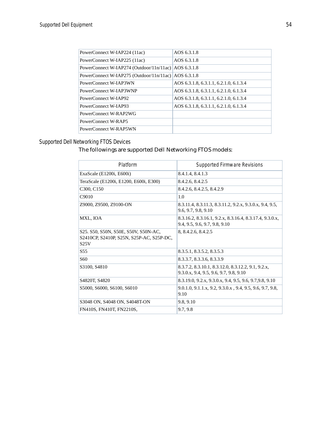| PowerConnect W-IAP224 (11ac)                         | AOS 6.3.1.8                            |
|------------------------------------------------------|----------------------------------------|
| PowerConnect W-IAP225 (11ac)                         | AOS 6.3.1.8                            |
| PowerConnect W-IAP274 (Outdoor/11n/11ac)             | AOS 6.3.1.8                            |
| PowerConnect W-IAP275 (Outdoor/11n/11ac) AOS 6.3.1.8 |                                        |
| PowerConnect W-IAP3WN                                | AOS 6.3.1.8, 6.3.1.1, 6.2.1.0, 6.1.3.4 |
| PowerConnect W-IAP3WNP                               | AOS 6.3.1.8, 6.3.1.1, 6.2.1.0, 6.1.3.4 |
| PowerConnect W-IAP92                                 | AOS 6.3.1.8, 6.3.1.1, 6.2.1.0, 6.1.3.4 |
| PowerConnect W-JAP93                                 | AOS 6.3.1.8, 6.3.1.1, 6.2.1.0, 6.1.3.4 |
| PowerConnect W-RAP2WG                                |                                        |
| PowerConnect W-RAP5                                  |                                        |
| PowerConnect W-RAP5WN                                |                                        |
|                                                      |                                        |

### *Supported Dell Networking FTOS Devices*

### The followings are supported Dell Networking FTOS models:

| Platform                                                                                 | Supported Firmware Revisions                                                                 |
|------------------------------------------------------------------------------------------|----------------------------------------------------------------------------------------------|
| ExaScale (E1200i, E600i)                                                                 | 8.4.1.4, 8.4.1.3                                                                             |
| TeraScale (E1200i, E1200, E600i, E300)                                                   | 8.4.2.6, 8.4.2.5                                                                             |
| C <sub>3</sub> 00, C <sub>150</sub>                                                      | 8.4.2.6, 8.4.2.5, 8.4.2.9                                                                    |
| C9010                                                                                    | 1.0                                                                                          |
| Z9000, Z9500, Z9100-ON                                                                   | 8.3.11.4, 8.3.11.3, 8.3.11.2, 9.2.x, 9.3.0.x, 9.4, 9.5,<br>9.6, 9.7, 9.8, 9.10               |
| MXL, IOA                                                                                 | 8.3.16.2, 8.3.16.1, 9.2.x, 8.3.16.4, 8.3.17.4, 9.3.0.x,<br>9.4, 9.5, 9.6, 9.7, 9.8, 9.10     |
| S25. S50, S50N, S50E, S50V, S50N-AC,<br>S2410CP, S2410P, S25N, S25P-AC, S25P-DC,<br>S25V | 8, 8.4.2.6, 8.4.2.5                                                                          |
| S <sub>55</sub>                                                                          | 8.3.5.1, 8.3.5.2, 8.3.5.3                                                                    |
| S <sub>60</sub>                                                                          | 8.3.3.7, 8.3.3.6, 8.3.3.9                                                                    |
| S3100, S4810                                                                             | 8.3.7.2, 8.3.10.1, 8.3.12.0, 8.3.12.2, 9.1, 9.2.x,<br>9.3.0.x, 9.4, 9.5, 9.6, 9.7, 9.8, 9.10 |
| S4820T, S4820                                                                            | 8.3.19.0, 9.2.x, 9.3.0.x, 9.4, 9.5, 9.6, 9.7, 9.8, 9.10                                      |
| S5000, S6000, S6100, S6010                                                               | 9.0.1.0, 9.1.1.x, 9.2, 9.3.0.x, 9.4, 9.5, 9.6, 9.7, 9.8,<br>9.10                             |
| S3048 ON, S4048 ON, S4048T-ON                                                            | 9.8, 9.10                                                                                    |
| FN410S, FN410T, FN2210S,                                                                 | 9.7, 9.8                                                                                     |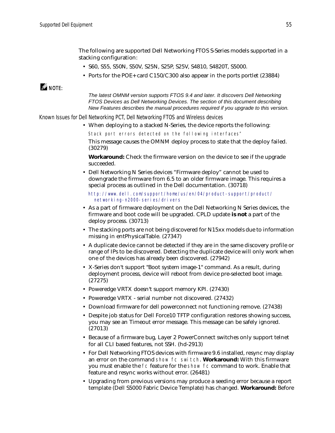The following are supported Dell Networking FTOS S-Series models supported in a stacking configuration:

- S60, S55, S50N, S50V, S25N, S25P, S25V, S4810, S4820T, S5000.
- Ports for the POE+ card C150/C300 also appear in the ports portlet (23884)

### $\mathscr{Q}$  note:

*The latest OMNM version supports FTOS 9.4 and later. It discovers Dell Networking FTOS Devices as Dell Networking Devices. The section of this document describing New Features describes the manual procedures required if you upgrade to this version.*

*Known Issues for Dell Networking PCT, Dell Networking FTOS and Wireless devices*

• When deploying to a stacked N-Series, the device reports the following:

Stack port errors detected on the following interfaces" This message causes the OMNM deploy process to state that the deploy failed. (30279)

**Workaround:** Check the firmware version on the device to see if the upgrade succeeded.

• Dell Networking N Series devices "Firmware deploy" cannot be used to downgrade the firmware from 6.5 to an older firmware image. This requires a special process as outlined in the Dell documentation. (30718)

[http://www.dell.com/support/home/us/en/04/product-support/product/](http://www.dell.com/support/home/us/en/04/product-support/product/networking-n2000-series/drivers) networking-n2000-series/drivers

- As a part of firmware deployment on the Dell Networking N Series devices, the firmware and boot code will be upgraded. CPLD update **is not** a part of the deploy process. (30713)
- The stacking ports are not being discovered for N15xx models due to information missing in entPhysicalTable. (27347)
- A duplicate device cannot be detected if they are in the same discovery profile or range of IPs to be discovered. Detecting the duplicate device will only work when one of the devices has already been discovered. (27942)
- X-Series don't support "Boot system image-1" command. As a result, during deployment process, device will reboot from device pre-selected boot image. (27275)
- Poweredge VRTX doesn't support memory KPI. (27430)
- Poweredge VRTX serial number not discovered.  $(27432)$
- Download firmware for dell powerconnect not functioning remove. (27438)
- Despite job status for Dell Force10 TFTP configuration restores showing success, you may see an Timeout error message. This message can be safely ignored. (27013)
- Because of a firmware bug, Layer 2 PowerConnect switches only support telnet for all CLI based features, not SSH. (hd-2913)
- For Dell Networking FTOS devices with firmware 9.6 installed, resync may display an error on the command show fc switch. **Workaround:** With this firmware you must enable the fc feature for the show fc command to work. Enable that feature and resync works without error. (26481)
- Upgrading from previous versions may produce a seeding error because a report template (Dell S5000 Fabric Device Template) has changed. **Workaround:** Before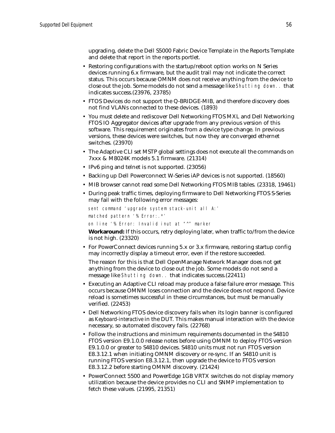upgrading, delete the Dell S5000 Fabric Device Template in the Reports Template and delete that report in the reports portlet.

- Restoring configurations with the startup/reboot option works on N Series devices running 6.x firmware, but the audit trail may not indicate the correct status. This occurs because OMNM does not receive anything from the device to close out the job. Some models do not send a message like Shutting down.. that indicates success.(23976, 23785)
- FTOS Devices do not support the Q-BRIDGE-MIB, and therefore discovery does not find VLANs connected to these devices. (1893)
- You must delete and rediscover Dell Networking FTOS MXL and Dell Networking FTOS IO Aggregator devices after upgrade from any previous version of this software. This requirement originates from a device type change. In previous versions, these devices were switches, but now they are converged ethernet switches. (23970)
- The Adaptive CLI set MSTP global settings does not execute all the commands on 7xxx & M8024K models 5.1 firmware. (21314)
- IPv6 ping and telnet is not supported. (23056)
- Backing up Dell Powerconnect W-Series iAP devices is not supported. (18560)
- MIB browser cannot read some Dell Networking FTOS MIB tables. (23318, 19461)
- During peak traffic times, deploying firmware to Dell Networking FTOS S-Series may fail with the following error messages:

```
sent command 'upgrade system stack-unit all A:'
matched pattern '% Error:.*'
on line '% Error: Invalid inut at "^" marker
```
**Workaround:** If this occurs, retry deploying later, when traffic to/from the device is not high. (23320)

• For PowerConnect devices running 5.x or 3.x firmware, restoring startup config may incorrectly display a timeout error, even if the restore succeeded.

The reason for this is that Dell OpenManage Network Manager does not get anything from the device to close out the job. Some models do not send a message like Shutting down.. that indicates success.(22411)

- Executing an Adaptive CLI reload may produce a false failure error message. This occurs because OMNM loses connection and the device does not respond. Device reload is sometimes successful in these circumstances, but must be manually verified. (22453)
- Dell Networking FTOS device discovery fails when its login banner is configured as *Keyboard-interactive* in the DUT. This makes manual interaction with the device necessary, so automated discovery fails. (22768)
- Follow the instructions and minimum requirements documented in the S4810 FTOS version E9.1.0.0 release notes before using OMNM to deploy FTOS version E9.1.0.0 or greater to S4810 devices. S4810 units must not run FTOS version E8.3.12.1 when initiating OMNM discovery or re-sync. If an S4810 unit is running FTOS version E8.3.12.1, then upgrade the device to FTOS version E8.3.12.2 before starting OMNM discovery. (21424)
- PowerConnect 5500 and PowerEdge 1GB VRTX switches do not display memory utilization because the device provides no CLI and SNMP implementation to fetch these values. (21995, 21351)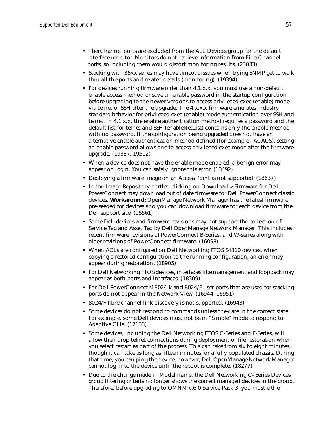- FiberChannel ports are excluded from the ALL Devices group for the default interface monitor. Monitors do not retrieve information from FiberChannel ports, so including them would distort monitoring results. (23033)
- Stacking with 35xx series may have timeout issues when trying SNMP get to walk thru all the ports and related details (monitoring). (19394)
- For devices running firmware older than 4.1.x.x, you must use a non-default enable access method or save an enable password in the startup configuration before upgrading to the newer versions to access privileged exec (enable) mode via telnet or SSH after the upgrade. The 4.x.x.x firmware emulates industry standard behavior for privileged exec (enable) mode authentication over SSH and telnet. In 4.1.x.x, the enable authentication method requires a password and the default list for telnet and SSH (enableNetList) contains only the enable method with no password. If the configuration being upgraded does not have an alternative enable authentication method defined (for example TACACS), setting an enable password allows one to access privileged exec mode after the firmware upgrade. (19387, 19512)
- When a device does not have the enable mode enabled, a benign error may appear on login. You can safely ignore this error. (18492)
- Deploying a firmware image on an Access Point is not supported. (18637)
- In the Image Repository portlet, clicking on Download > Firmware for Dell PowerConnect may download out of date firmware for Dell PowerConnect classic devices. **Workaround:** OpenManage Network Manager has the latest firmware pre-seeded for devices and you can download firmware for each device from the Dell support site. (16561)
- Some Dell devices and firmware revisions may not support the collection of Service Tag and Asset Tag by Dell OpenManage Network Manager. This includes recent firmware revisions of PowerConnect B-Series, and W-series along with older revisions of PowerConnect firmware. (16098)
- When ACLs are configured on Dell Networking FTOS S4810 devices, when copying a restored configuration to the running configuration, an error may appear during restoration. (18905)
- For Dell Networking FTOS devices, interfaces like management and loopback may appear as both ports and interfaces. (18309)
- For Dell PowerConnect M8024-k and 8024/F user ports that are used for stacking ports do not appear in the Network View. (16944, 16951)
- 8024/F fibre channel link discovery is not supported. (16943)
- Some devices do not respond to commands unless they are in the correct state. For example, some Dell devices must not be in "Simple" mode to respond to Adaptive CLIs. (17153)
- Some devices, including the Dell Networking FTOS C-Series and E-Series, will allow then drop telnet connections during deployment or file restoration when you select restart as part of the process. This can take from six to eight minutes, though it can take as long as fifteen minutes for a fully populated chassis. During that time, you can ping the device; however, Dell OpenManage Network Manager cannot log in to the device until the reboot is complete. (18277)
- Due to the change made in Model name, the Dell Networking C- Series Devices group filtering criteria no longer shows the correct managed devices in the group. Therefore, before upgrading to OMNM v.6.0 Service Pack 3, you must either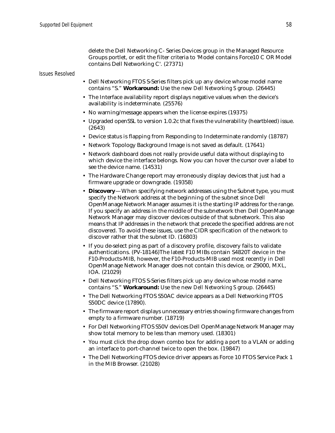delete the Dell Networking C- Series Devices group in the Managed Resource Groups portlet, or edit the filter criteria to 'Model contains Force10 C OR Model contains Dell Networking C'. (27371)

### *Issues Resolved*

- Dell Networking FTOS S-Series filters pick up any device whose model name contains "S." **Workaround:** Use the new *Dell Networking S* group. (26445)
- The Interface availability report displays negative values when the device's availability is indeterminate. (25576)
- No warning/message appears when the license expires (19375)
- Upgraded openSSL to version 1.0.2c that fixes the vulnerability (heartbleed) issue. (2643)
- Device status is flapping from Responding to Indeterminate randomly (18787)
- Network Topology Background Image is not saved as default. (17641)
- Network dashboard does not really provide useful data without displaying to which device the interface belongs. Now you can hover the cursor over a label to see the device name. (14531)
- The Hardware Change report may erroneously display devices that just had a firmware upgrade or downgrade. (19358)
- **Discovery**—When specifying network addresses using the Subnet type, you must specify the Network address at the beginning of the subnet since Dell OpenManage Network Manager assumes it is the starting IP address for the range. If you specify an address in the middle of the subnetwork then Dell OpenManage Network Manager may discover devices outside of that subnetwork. This also means that IP addresses in the network that precede the specified address are not discovered. To avoid these issues, use the CIDR specification of the network to discover rather that the subnet ID. (16803)
- If you de-select ping as part of a discovery profile, discovery fails to validate authentications. (PV-18146)The latest F10 MIBs contain S4820T device in the F10-Products-MIB, however, the F10-Products-MIB used most recently in Dell OpenManage Network Manager does not contain this device, or Z9000, MXL, IOA. (21029)
- Dell Networking FTOS S-Series filters pick up any device whose model name contains "S." **Workaround:** Use the new *Dell Networking S* group. (26445)
- The Dell Networking FTOS S50AC device appears as a Dell Networking FTOS S50DC device (17890).
- The firmware report displays unnecessary entries showing firmware changes from empty to a firmware number. (18719)
- For Dell Networking FTOS S50V devices Dell OpenManage Network Manager may show total memory to be less than memory used. (18301)
- You must click the drop down combo box for adding a port to a VLAN or adding an interface to port-channel twice to open the box. (19847)
- The Dell Networking FTOS device driver appears as Force 10 FTOS Service Pack 1 in the MIB Browser. (21028)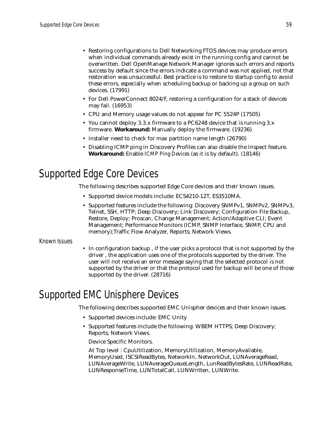- Restoring configurations to Dell Networking FTOS devices may produce errors when individual commands already exist in the running config and cannot be overwritten. Dell OpenManage Network Manager ignores such errors and reports success by default since the errors indicate a command was not applied, not that restoration was unsuccessful. Best practice is to restore to startup config to avoid these errors, especially when scheduling backup or backing up a group on such devices. (17991)
- For Dell PowerConnect 8024/F, restoring a configuration for a stack of devices may fail. (16953)
- CPU and Memory usage values do not appear for PC 5524P (17505)
- You cannot deploy 3.3.x firmware to a PC6248 device that is running 3.x firmware. **Workaround:** Manually deploy the firmware. (19236)
- installer need to check for max partition name length (26790)
- Disabling ICMP ping in Discovery Profiles can also disable the Inspect feature. **Workaround:** Enable *ICMP Ping Devices* (as it is by default). (18146)

# <span id="page-58-1"></span>Supported Edge Core Devices

The following describes supported Edge Core devices and their known issues.

- Supported device models include: ECS4210-12T, ES3510MA.
- Supported features include the following: Discovery SNMPv1, SNMPv2, SNMPv3, Telnet, SSH, HTTP; Deep Discovery; Link Discovery; Configuration File Backup, Restore, Deploy; Proscan, Change Management; Action/Adaptive CLI; Event Management; Performance Monitors (ICMP, SNMP Interface, SNMP, CPU and memory);Traffic Flow Analyzer, Reports; Network Views.

### Known Issues

• In configuration backup , if the user picks a protocol that is not supported by the driver , the application uses one of the protocols supported by the driver. The user will not receive an error message saying that the selected protocol is not supported by the driver or that the protocol used for backup will be one of those supported by the driver. (28716)

# <span id="page-58-0"></span>Supported EMC Unisphere Devices

The following describes supported EMC Unispher devices and their known issues.

- Supported devices include: EMC Unity
- Supported features include the following: WBEM HTTPS; Deep Discovery; Reports; Network Views.

Device Specific Monitors.

At Top level : CpuUtilization, MemoryUtilization, MemoryAvailable, MemoryUsed, ISCSIReadBytes, NetworkIn, NetworkOut, LUNAverageRead, LUNAverageWrite, LUNAverageQueueLength, LunReadBytesRate, LUNReadRate, LUNResponseTime, LUNTotalCall, LUNWritten, LUNWrite.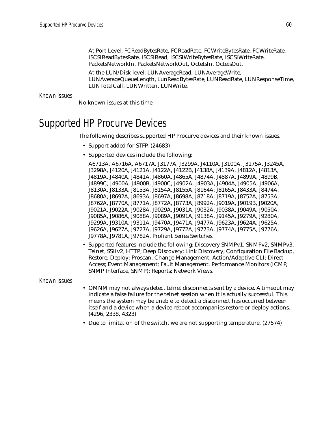At Port Level: FCReadBytesRate, FCReadRate, FCWriteBytesRate, FCWriteRate, ISCSIReadBytesRate, ISCSIRead, ISCSIWriteBytesRate, ISCSIWriteRate, PacketsNetworkIn, PacketsNetworkOut, OctetsIn, OctetsOut.

At the LUN/Disk level: LUNAverageRead, LUNAverageWrite, LUNAverageQueueLength, LunReadBytesRate, LUNReadRate, LUNResponseTime, LUNTotalCall, LUNWritten, LUNWrite.

Known Issues

No known issues at this time.

# <span id="page-59-0"></span>Supported HP Procurve Devices

The following describes supported HP Procurve devices and their known issues.

- Support added for STFP. (24683)
- Supported devices include the following:

A6713A, A6716A, A6717A, J3177A, J3299A, J4110A, J3100A, J3175A, J3245A, J3298A, J4120A, J4121A, J4122A, J4122B, J4138A, J4139A, J4812A, J4813A, J4819A, J4840A, J4841A, J4860A, J4865A, J4874A, J4887A, J4899A, J4899B, J4899C, J4900A, J4900B, J4900C, J4902A, J4903A, J4904A, J4905A, J4906A, J8130A, J8133A, J8153A, J8154A, J8155A, J8164A, J8165A, J8433A, J8474A, J8680A, J8692A, J8693A, J8697A, J8698A, J8718A, J8719A, J8752A, J8753A, J8762A, J8770A, J8771A, J8772A, J8773A, J8992A, J9019A, J9019B, J9020A, J9021A, J9022A, J9028A, J9029A, J9031A, J9032A, J9038A, J9049A, J9050A, J9085A, J9086A, J9088A, J9089A, J9091A, J9138A, J9145A, J9279A, J9280A, J9299A, J9310A, J9311A, J9470A, J9471A, J9477A, J9623A, J9624A, J9625A, J9626A, J9627A, J9727A, J9729A, J9772A, J9773A, J9774A, J9775A, J9776A, J9778A, J9781A, J9782A, Proliant Series Switches.

• Supported features include the following: Discovery SNMPv1, SNMPv2, SNMPv3, Telnet, SSHv2, HTTP; Deep Discovery; Link Discovery; Configuration File Backup, Restore, Deploy; Proscan, Change Management; Action/Adaptive CLI; Direct Access; Event Management; Fault Management, Performance Monitors (ICMP, SNMP Interface, SNMP); Reports; Network Views.

Known Issues

- OMNM may not always detect telnet disconnects sent by a device. A timeout may indicate a false failure for the telnet session when it is actually successful. This means the system may be unable to detect a disconnect has occurred between itself and a device when a device reboot accompanies restore or deploy actions. (4296, 2338, 4323)
- Due to limitation of the switch, we are not supporting temperature. (27574)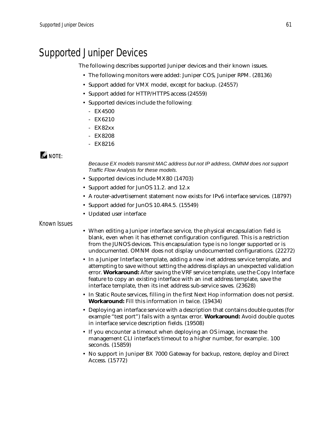# <span id="page-60-0"></span>Supported Juniper Devices

The following describes supported Juniper devices and their known issues.

- The following monitors were added: Juniper COS, Juniper RPM. (28136)
- Support added for VMX model, except for backup. (24557)
- Support added for HTTP/HTTPS access (24559)
- Supported devices include the following:
	- EX4500
	- EX6210
	- EX82xx
	- EX8208
	- EX8216

### $\mathscr{Q}$  note:

*Because EX models transmit MAC address but not IP address, OMNM does not support Traffic Flow Analysis for these models.*

- Supported devices include MX80 (14703)
- Support added for JunOS 11.2. and 12.x
- A router-advertisement statement now exists for IPv6 interface services. (18797)
- Support added for JunOS 10.4R4.5. (15549)
- Updated user interface

### Known Issues

- When editing a Juniper interface service, the physical encapsulation field is blank, even when it has ethernet configuration configured. This is a restriction from the JUNOS devices. This encapsulation type is no longer supported or is undocumented. OMNM does not display undocumented configurations. (22272)
- In a Juniper Interface template, adding a new inet address service template, and attempting to save without setting the address displays an unexpected validation error. **Workaround:** After saving the VRF service template, use the Copy Interface feature to copy an existing interface with an inet address template, save the interface template, then its inet address sub-service saves. (23628)
- In Static Route services, filling in the first Next Hop information does not persist. **Workaround:** Fill this information in twice. (19434)
- Deploying an interface service with a description that contains double quotes (for example "test port") fails with a syntax error. **Workaround:** Avoid double quotes in interface service description fields. (19508)
- If you encounter a timeout when deploying an OS image, increase the management CLI interface's timeout to a higher number, for example:. 100 seconds. (15859)
- No support in Juniper BX 7000 Gateway for backup, restore, deploy and Direct Access. (15772)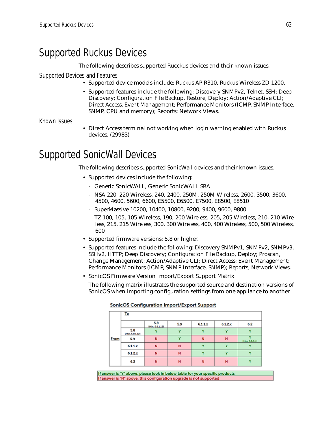# <span id="page-61-0"></span>Supported Ruckus Devices

The following describes supported Rucckus devices and their known issues.

Supported Devices and Features

- Supported device models include: Ruckus AP R310, Ruckus Wireless ZD 1200.
- Supported features include the following: Discovery SNMPv2, Telnet, SSH; Deep Discovery; Configuration File Backup, Restore, Deploy; Action/Adaptive CLI; Direct Access, Event Management; Performance Monitors (ICMP, SNMP Interface, SNMP, CPU and memory); Reports; Network Views.

Known Issues

• Direct Access terminal not working when login warning enabled with Ruckus devices. (29983)

# <span id="page-61-1"></span>Supported SonicWall Devices

The following describes supported SonicWall devices and their known issues.

- Supported devices include the following:
	- Generic SonicWALL, Generic SonicWALL SRA
	- NSA 220, 220 Wireless, 240, 2400, 250M, 250M Wireless, 2600, 3500, 3600, 4500, 4600, 5600, 6600, E5500, E6500, E7500, E8500, E8510
	- SuperMassive 10200, 10400, 10800, 9200, 9400, 9600, 9800
	- TZ 100, 105, 105 Wireless, 190, 200 Wireless, 205, 205 Wireless, 210, 210 Wireless, 215, 215 Wireless, 300, 300 Wireless, 400, 400 Wireless, 500, 500 Wireless, 600
- Supported firmware versions: 5.8 or higher.
- Supported features include the following: Discovery SNMPv1, SNMPv2, SNMPv3, SSHv2, HTTP; Deep Discovery; Configuration File Backup, Deploy; Proscan, Change Management; Action/Adaptive CLI; Direct Access; Event Management; Performance Monitors (ICMP, SNMP Interface, SNMP); Reports; Network Views.
- SonicOS Firmware Version Import/Export Support Matrix

The following matrix illustrates the supported source and destination versions of SonicOS when importing configuration settings from one appliance to another

|      | To                     |                        |     |         |         |                                            |  |  |
|------|------------------------|------------------------|-----|---------|---------|--------------------------------------------|--|--|
|      |                        | 5.8<br>(Min. 5.8.1.12) | 5.9 | 6.1.1.x | 6.1.2.x | 6.2                                        |  |  |
|      | 5.8<br>(Min. S.B.1.12) |                        | v   |         |         |                                            |  |  |
| From | 5.9                    | N                      | v   | N       | N       | $\overline{\phantom{a}}$<br>(Min. 5.9.0.4) |  |  |
|      | 6.1.1.x                | N                      | N   | v       | v       |                                            |  |  |
|      | 6.1.2.x                | N                      | N   |         |         |                                            |  |  |
|      | 6.2                    | N                      | N   | N       | N       | w                                          |  |  |

**SonicOS Configuration Import/Export Support** 

If answer is "Y" above, please look in below table for your specific products If answer is "N" above, this configuration upgrade is not supported